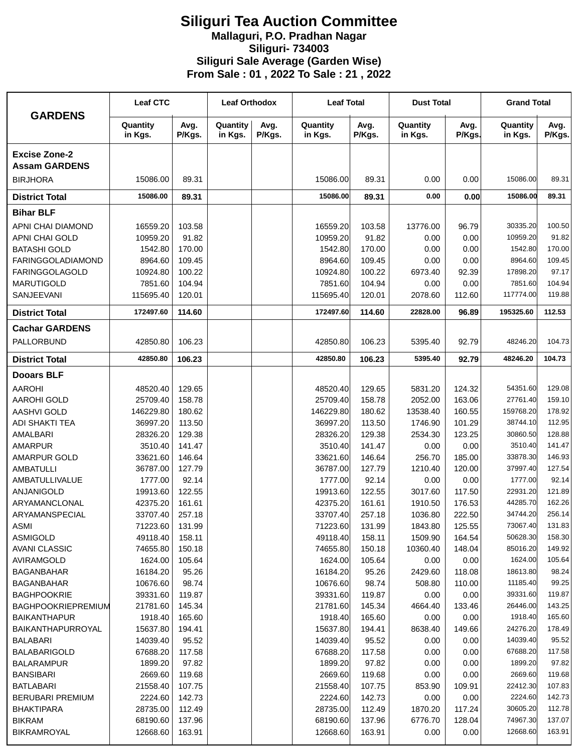## **Siliguri Tea Auction Committee Mallaguri, P.O. Pradhan Nagar Siliguri- 734003 Siliguri Sale Average (Garden Wise) From Sale : 01 , 2022 To Sale : 21 , 2022**

| <b>GARDENS</b>                               | <b>Leaf CTC</b>      |                | <b>Leaf Orthodox</b> |                | <b>Leaf Total</b>    |                | <b>Dust Total</b>   |                  | <b>Grand Total</b>  |                  |
|----------------------------------------------|----------------------|----------------|----------------------|----------------|----------------------|----------------|---------------------|------------------|---------------------|------------------|
|                                              | Quantity<br>in Kgs.  | Avg.<br>P/Kgs. | Quantity<br>in Kgs.  | Avg.<br>P/Kgs. | Quantity<br>in Kgs.  | Avg.<br>P/Kgs. | Quantity<br>in Kgs. | Avg.<br>P/Kgs.   | Quantity<br>in Kgs. | Avg.<br>P/Kgs.   |
| <b>Excise Zone-2</b><br><b>Assam GARDENS</b> |                      |                |                      |                |                      |                |                     |                  |                     |                  |
| <b>BIRJHORA</b>                              | 15086.00             | 89.31          |                      |                | 15086.00             | 89.31          | 0.00                | 0.00             | 15086.00            | 89.31            |
| <b>District Total</b>                        | 15086.00             | 89.31          |                      |                | 15086.00             | 89.31          | 0.00                | 0.00             | 15086.00            | 89.31            |
| <b>Bihar BLF</b>                             |                      |                |                      |                |                      |                |                     |                  |                     |                  |
| APNI CHAI DIAMOND                            | 16559.20             | 103.58         |                      |                | 16559.20             | 103.58         | 13776.00            | 96.79            | 30335.20            | 100.50           |
| APNI CHAI GOLD                               | 10959.20             | 91.82          |                      |                | 10959.20             | 91.82          | 0.00                | 0.00             | 10959.20            | 91.82            |
| <b>BATASHI GOLD</b>                          | 1542.80              | 170.00         |                      |                | 1542.80              | 170.00         | 0.00                | 0.00             | 1542.80             | 170.00           |
| <b>FARINGGOLADIAMOND</b>                     | 8964.60              | 109.45         |                      |                | 8964.60              | 109.45         | 0.00                | 0.00             | 8964.60             | 109.45           |
| <b>FARINGGOLAGOLD</b>                        | 10924.80             | 100.22         |                      |                | 10924.80             | 100.22         | 6973.40             | 92.39            | 17898.20            | 97.17            |
| <b>MARUTIGOLD</b>                            | 7851.60              | 104.94         |                      |                | 7851.60              | 104.94         | 0.00                | 0.00             | 7851.60             | 104.94           |
| SANJEEVANI                                   | 115695.40            | 120.01         |                      |                | 115695.40            | 120.01         | 2078.60             | 112.60           | 117774.00           | 119.88           |
| <b>District Total</b>                        | 172497.60            | 114.60         |                      |                | 172497.60            | 114.60         | 22828.00            | 96.89            | 195325.60           | 112.53           |
| <b>Cachar GARDENS</b>                        |                      |                |                      |                |                      |                |                     |                  |                     |                  |
| PALLORBUND                                   | 42850.80             | 106.23         |                      |                | 42850.80             | 106.23         | 5395.40             | 92.79            | 48246.20            | 104.73           |
| <b>District Total</b>                        | 42850.80             | 106.23         |                      |                | 42850.80             | 106.23         | 5395.40             | 92.79            | 48246.20            | 104.73           |
| <b>Dooars BLF</b>                            |                      |                |                      |                |                      |                |                     |                  |                     |                  |
| <b>AAROHI</b>                                | 48520.40             | 129.65         |                      |                | 48520.40             | 129.65         | 5831.20             | 124.32           | 54351.60            | 129.08           |
| <b>AAROHI GOLD</b>                           | 25709.40             | 158.78         |                      |                | 25709.40             | 158.78         | 2052.00             | 163.06           | 27761.40            | 159.10           |
| <b>AASHVI GOLD</b>                           | 146229.80            | 180.62         |                      |                | 146229.80            | 180.62         | 13538.40            | 160.55           | 159768.20           | 178.92           |
| ADI SHAKTI TEA                               | 36997.20             | 113.50         |                      |                | 36997.20             | 113.50         | 1746.90             | 101.29           | 38744.10            | 112.95           |
| AMALBARI                                     | 28326.20             | 129.38         |                      |                | 28326.20             | 129.38         | 2534.30             | 123.25           | 30860.50            | 128.88           |
| <b>AMARPUR</b>                               | 3510.40              | 141.47         |                      |                | 3510.40              | 141.47         | 0.00                | 0.00             | 3510.40             | 141.47           |
| AMARPUR GOLD                                 | 33621.60             | 146.64         |                      |                | 33621.60             | 146.64         | 256.70              | 185.00           | 33878.30            | 146.93           |
| <b>AMBATULLI</b>                             | 36787.00             | 127.79         |                      |                | 36787.00             | 127.79         | 1210.40             | 120.00           | 37997.40            | 127.54           |
| <b>AMBATULLIVALUE</b>                        | 1777.00              | 92.14          |                      |                | 1777.00              | 92.14          | 0.00                | 0.00             | 1777.00             | 92.14            |
| ANJANIGOLD                                   | 19913.60             | 122.55         |                      |                | 19913.60             | 122.55         | 3017.60             | 117.50           | 22931.20            | 121.89           |
| ARYAMANCLONAL                                | 42375.20             | 161.61         |                      |                | 42375.20             | 161.61         | 1910.50             | 176.53           | 44285.70            | 162.26           |
| ARYAMANSPECIAL                               | 33707.40             | 257.18         |                      |                | 33707.40             | 257.18         | 1036.80             | 222.50           | 34744.20            | 256.14           |
| ASMI                                         | 71223.60             | 131.99         |                      |                | 71223.60             | 131.99         | 1843.80             | 125.55           | 73067.40            | 131.83           |
| <b>ASMIGOLD</b>                              | 49118.40             | 158.11         |                      |                | 49118.40             | 158.11         | 1509.90             | 164.54           | 50628.30            | 158.30           |
| <b>AVANI CLASSIC</b>                         | 74655.80             | 150.18         |                      |                | 74655.80             | 150.18         | 10360.40            | 148.04           | 85016.20<br>1624.00 | 149.92<br>105.64 |
| AVIRAMGOLD                                   | 1624.00              | 105.64         |                      |                | 1624.00              | 105.64         | 0.00                | 0.00             | 18613.80            | 98.24            |
| <b>BAGANBAHAR</b><br><b>BAGANBAHAR</b>       | 16184.20<br>10676.60 | 95.26<br>98.74 |                      |                | 16184.20<br>10676.60 | 95.26<br>98.74 | 2429.60<br>508.80   | 118.08<br>110.00 | 11185.40            | 99.25            |
| <b>BAGHPOOKRIE</b>                           | 39331.60             | 119.87         |                      |                | 39331.60             | 119.87         | 0.00                | 0.00             | 39331.60            | 119.87           |
| BAGHPOOKRIEPREMIUM                           | 21781.60             | 145.34         |                      |                | 21781.60             | 145.34         | 4664.40             | 133.46           | 26446.00            | 143.25           |
| <b>BAIKANTHAPUR</b>                          | 1918.40              | 165.60         |                      |                | 1918.40              | 165.60         | 0.00                | 0.00             | 1918.40             | 165.60           |
| BAIKANTHAPURROYAL                            | 15637.80             | 194.41         |                      |                | 15637.80             | 194.41         | 8638.40             | 149.66           | 24276.20            | 178.49           |
| <b>BALABARI</b>                              | 14039.40             | 95.52          |                      |                | 14039.40             | 95.52          | 0.00                | 0.00             | 14039.40            | 95.52            |
| <b>BALABARIGOLD</b>                          | 67688.20             | 117.58         |                      |                | 67688.20             | 117.58         | 0.00                | 0.00             | 67688.20            | 117.58           |
| <b>BALARAMPUR</b>                            | 1899.20              | 97.82          |                      |                | 1899.20              | 97.82          | 0.00                | 0.00             | 1899.20             | 97.82            |
| <b>BANSIBARI</b>                             | 2669.60              | 119.68         |                      |                | 2669.60              | 119.68         | 0.00                | 0.00             | 2669.60             | 119.68           |
| <b>BATLABARI</b>                             | 21558.40             | 107.75         |                      |                | 21558.40             | 107.75         | 853.90              | 109.91           | 22412.30            | 107.83           |
| <b>BERUBARI PREMIUM</b>                      | 2224.60              | 142.73         |                      |                | 2224.60              | 142.73         | 0.00                | 0.00             | 2224.60             | 142.73           |
| <b>BHAKTIPARA</b>                            | 28735.00             | 112.49         |                      |                | 28735.00             | 112.49         | 1870.20             | 117.24           | 30605.20            | 112.78           |
| <b>BIKRAM</b>                                | 68190.60             | 137.96         |                      |                | 68190.60             | 137.96         | 6776.70             | 128.04           | 74967.30            | 137.07           |
| <b>BIKRAMROYAL</b>                           | 12668.60             | 163.91         |                      |                | 12668.60             | 163.91         | 0.00                | 0.00             | 12668.60            | 163.91           |
|                                              |                      |                |                      |                |                      |                |                     |                  |                     |                  |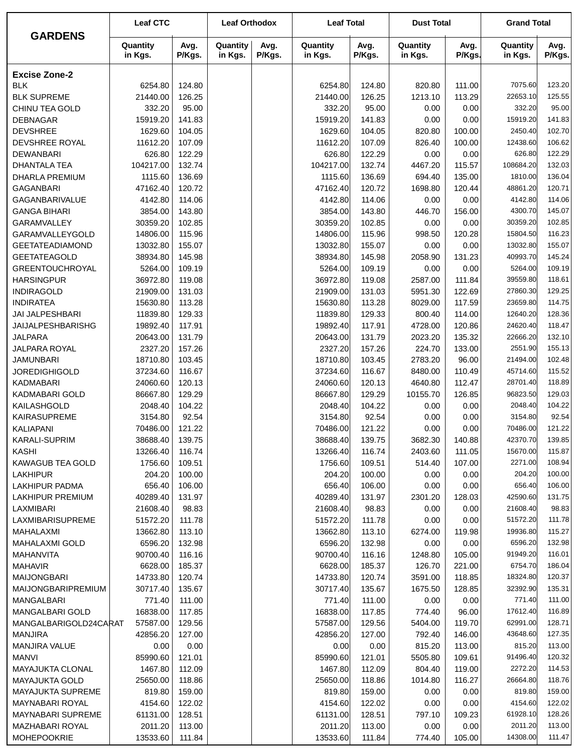|                                          | <b>Leaf CTC</b>      |                  | <b>Leaf Orthodox</b> |                | <b>Leaf Total</b>    |                  | <b>Dust Total</b>   |                  | <b>Grand Total</b>  |                  |
|------------------------------------------|----------------------|------------------|----------------------|----------------|----------------------|------------------|---------------------|------------------|---------------------|------------------|
| <b>GARDENS</b>                           | Quantity<br>in Kgs.  | Avg.<br>P/Kgs.   | Quantity<br>in Kgs.  | Avg.<br>P/Kgs. | Quantity<br>in Kgs.  | Avg.<br>P/Kgs.   | Quantity<br>in Kgs. | Avg.<br>P/Kgs.   | Quantity<br>in Kgs. | Avg.<br>P/Kgs.   |
| <b>Excise Zone-2</b>                     |                      |                  |                      |                |                      |                  |                     |                  |                     |                  |
| <b>BLK</b>                               | 6254.80              | 124.80           |                      |                | 6254.80              | 124.80           | 820.80              | 111.00           | 7075.60             | 123.20           |
| <b>BLK SUPREME</b>                       | 21440.00             | 126.25           |                      |                | 21440.00             | 126.25           | 1213.10             | 113.29           | 22653.10            | 125.55           |
| CHINU TEA GOLD                           | 332.20               | 95.00            |                      |                | 332.20               | 95.00            | 0.00                | 0.00             | 332.20              | 95.00            |
| <b>DEBNAGAR</b>                          | 15919.20             | 141.83           |                      |                | 15919.20             | 141.83           | 0.00                | 0.00             | 15919.20            | 141.83           |
| <b>DEVSHREE</b>                          | 1629.60              | 104.05           |                      |                | 1629.60              | 104.05           | 820.80              | 100.00           | 2450.40             | 102.70           |
| DEVSHREE ROYAL                           | 11612.20             | 107.09           |                      |                | 11612.20             | 107.09           | 826.40              | 100.00           | 12438.60            | 106.62           |
| <b>DEWANBARI</b>                         | 626.80               | 122.29           |                      |                | 626.80               | 122.29           | 0.00                | 0.00             | 626.80              | 122.29           |
| <b>DHANTALA TEA</b>                      | 104217.00            | 132.74           |                      |                | 104217.00            | 132.74           | 4467.20             | 115.57           | 108684.20           | 132.03           |
| DHARLA PREMIUM                           | 1115.60              | 136.69           |                      |                | 1115.60              | 136.69           | 694.40              | 135.00           | 1810.00             | 136.04           |
| <b>GAGANBARI</b>                         | 47162.40             | 120.72           |                      |                | 47162.40             | 120.72           | 1698.80             | 120.44           | 48861.20            | 120.71           |
| GAGANBARIVALUE                           | 4142.80              | 114.06           |                      |                | 4142.80              | 114.06           | 0.00                | 0.00             | 4142.80             | 114.06           |
| <b>GANGA BIHARI</b>                      | 3854.00              | 143.80           |                      |                | 3854.00              | 143.80           | 446.70              | 156.00           | 4300.70             | 145.07           |
| <b>GARAMVALLEY</b>                       | 30359.20             | 102.85           |                      |                | 30359.20             | 102.85           | 0.00                | 0.00             | 30359.20            | 102.85           |
| GARAMVALLEYGOLD                          | 14806.00             | 115.96           |                      |                | 14806.00             | 115.96           | 998.50              | 120.28           | 15804.50            | 116.23           |
| <b>GEETATEADIAMOND</b>                   | 13032.80             | 155.07           |                      |                | 13032.80             | 155.07           | 0.00                | 0.00             | 13032.80            | 155.07           |
| <b>GEETATEAGOLD</b>                      | 38934.80             | 145.98           |                      |                | 38934.80             | 145.98           | 2058.90             | 131.23           | 40993.70            | 145.24<br>109.19 |
| <b>GREENTOUCHROYAL</b>                   | 5264.00              | 109.19<br>119.08 |                      |                | 5264.00              | 109.19           | 0.00<br>2587.00     | 0.00             | 5264.00<br>39559.80 | 118.61           |
| <b>HARSINGPUR</b><br><b>INDIRAGOLD</b>   | 36972.80<br>21909.00 | 131.03           |                      |                | 36972.80<br>21909.00 | 119.08<br>131.03 | 5951.30             | 111.84<br>122.69 | 27860.30            | 129.25           |
| <b>INDIRATEA</b>                         | 15630.80             | 113.28           |                      |                | 15630.80             | 113.28           | 8029.00             | 117.59           | 23659.80            | 114.75           |
| <b>JAI JALPESHBARI</b>                   | 11839.80             | 129.33           |                      |                | 11839.80             | 129.33           | 800.40              | 114.00           | 12640.20            | 128.36           |
| <b>JAIJALPESHBARISHG</b>                 | 19892.40             | 117.91           |                      |                | 19892.40             | 117.91           | 4728.00             | 120.86           | 24620.40            | 118.47           |
| <b>JALPARA</b>                           | 20643.00             | 131.79           |                      |                | 20643.00             | 131.79           | 2023.20             | 135.32           | 22666.20            | 132.10           |
| <b>JALPARA ROYAL</b>                     | 2327.20              | 157.26           |                      |                | 2327.20              | 157.26           | 224.70              | 133.00           | 2551.90             | 155.13           |
| <b>JAMUNBARI</b>                         | 18710.80             | 103.45           |                      |                | 18710.80             | 103.45           | 2783.20             | 96.00            | 21494.00            | 102.48           |
| <b>JOREDIGHIGOLD</b>                     | 37234.60             | 116.67           |                      |                | 37234.60             | 116.67           | 8480.00             | 110.49           | 45714.60            | 115.52           |
| <b>KADMABARI</b>                         | 24060.60             | 120.13           |                      |                | 24060.60             | 120.13           | 4640.80             | 112.47           | 28701.40            | 118.89           |
| <b>KADMABARI GOLD</b>                    | 86667.80             | 129.29           |                      |                | 86667.80             | 129.29           | 10155.70            | 126.85           | 96823.50            | 129.03           |
| KAILASHGOLD                              | 2048.40              | 104.22           |                      |                | 2048.40              | 104.22           | 0.00                | 0.00             | 2048.40             | 104.22           |
| KAIRASUPREME                             | 3154.80              | 92.54            |                      |                | 3154.80              | 92.54            | 0.00                | 0.00             | 3154.80             | 92.54            |
| <b>KALIAPANI</b>                         | 70486.00             | 121.22           |                      |                | 70486.00             | 121.22           | 0.00                | 0.00             | 70486.00            | 121.22           |
| KARALI-SUPRIM                            | 38688.40             | 139.75           |                      |                | 38688.40             | 139.75           | 3682.30             | 140.88           | 42370.70            | 139.85           |
| <b>KASHI</b>                             | 13266.40             | 116.74           |                      |                | 13266.40             | 116.74           | 2403.60             | 111.05           | 15670.00            | 115.87           |
| KAWAGUB TEA GOLD                         | 1756.60              | 109.51           |                      |                | 1756.60              | 109.51           | 514.40              | 107.00           | 2271.00             | 108.94           |
| <b>LAKHIPUR</b>                          | 204.20               | 100.00           |                      |                | 204.20               | 100.00           | 0.00                | 0.00             | 204.20              | 100.00           |
| <b>LAKHIPUR PADMA</b>                    | 656.40               | 106.00           |                      |                | 656.40               | 106.00           | 0.00                | 0.00             | 656.40              | 106.00           |
| <b>LAKHIPUR PREMIUM</b>                  | 40289.40             | 131.97           |                      |                | 40289.40             | 131.97           | 2301.20             | 128.03           | 42590.60            | 131.75           |
| LAXMIBARI                                | 21608.40             | 98.83            |                      |                | 21608.40             | 98.83            | 0.00                | 0.00             | 21608.40            | 98.83            |
| LAXMIBARISUPREME                         | 51572.20             | 111.78           |                      |                | 51572.20             | 111.78           | 0.00                | 0.00             | 51572.20            | 111.78           |
| MAHALAXMI                                | 13662.80             | 113.10           |                      |                | 13662.80             | 113.10           | 6274.00             | 119.98           | 19936.80            | 115.27           |
| <b>MAHALAXMI GOLD</b>                    | 6596.20              | 132.98           |                      |                | 6596.20              | 132.98           | 0.00                | 0.00             | 6596.20             | 132.98           |
| MAHANVITA                                | 90700.40             | 116.16           |                      |                | 90700.40             | 116.16           | 1248.80             | 105.00           | 91949.20            | 116.01           |
| <b>MAHAVIR</b>                           | 6628.00              | 185.37           |                      |                | 6628.00              | 185.37           | 126.70              | 221.00           | 6754.70             | 186.04           |
| <b>MAIJONGBARI</b>                       | 14733.80             | 120.74           |                      |                | 14733.80             | 120.74           | 3591.00             | 118.85           | 18324.80            | 120.37           |
| <b>MAIJONGBARIPREMIUM</b>                | 30717.40             | 135.67           |                      |                | 30717.40             | 135.67           | 1675.50             | 128.85           | 32392.90<br>771.40  | 135.31<br>111.00 |
| MANGALBARI                               | 771.40<br>16838.00   | 111.00<br>117.85 |                      |                | 771.40<br>16838.00   | 111.00<br>117.85 | 0.00<br>774.40      | 0.00<br>96.00    | 17612.40            | 116.89           |
| MANGALBARI GOLD<br>MANGALBARIGOLD24CARAT | 57587.00             | 129.56           |                      |                | 57587.00             | 129.56           | 5404.00             | 119.70           | 62991.00            | 128.71           |
| <b>MANJIRA</b>                           | 42856.20             | 127.00           |                      |                | 42856.20             | 127.00           | 792.40              | 146.00           | 43648.60            | 127.35           |
| <b>MANJIRA VALUE</b>                     | 0.00                 | 0.00             |                      |                | 0.00                 | 0.00             | 815.20              | 113.00           | 815.20              | 113.00           |
| <b>MANVI</b>                             | 85990.60             | 121.01           |                      |                | 85990.60             | 121.01           | 5505.80             | 109.61           | 91496.40            | 120.32           |
| <b>MAYAJUKTA CLONAL</b>                  | 1467.80              | 112.09           |                      |                | 1467.80              | 112.09           | 804.40              | 119.00           | 2272.20             | 114.53           |
| MAYAJUKTA GOLD                           | 25650.00             | 118.86           |                      |                | 25650.00             | 118.86           | 1014.80             | 116.27           | 26664.80            | 118.76           |
| <b>MAYAJUKTA SUPREME</b>                 | 819.80               | 159.00           |                      |                | 819.80               | 159.00           | 0.00                | 0.00             | 819.80              | 159.00           |
| MAYNABARI ROYAL                          | 4154.60              | 122.02           |                      |                | 4154.60              | 122.02           | 0.00                | 0.00             | 4154.60             | 122.02           |
| MAYNABARI SUPREME                        | 61131.00             | 128.51           |                      |                | 61131.00             | 128.51           | 797.10              | 109.23           | 61928.10            | 128.26           |
| MAZHABARI ROYAL                          | 2011.20              | 113.00           |                      |                | 2011.20              | 113.00           | 0.00                | 0.00             | 2011.20             | 113.00           |
| <b>MOHEPOOKRIE</b>                       | 13533.60             | 111.84           |                      |                | 13533.60             | 111.84           | 774.40              | 105.00           | 14308.00            | 111.47           |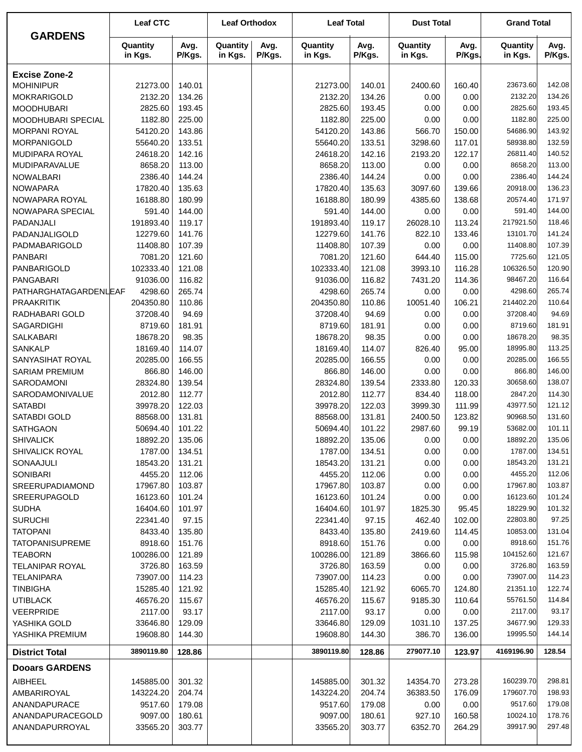| <b>GARDENS</b>                     | <b>Leaf CTC</b>     |                  | <b>Leaf Orthodox</b> |                | <b>Leaf Total</b>   |                  | <b>Dust Total</b>   |                | <b>Grand Total</b>  |                  |  |
|------------------------------------|---------------------|------------------|----------------------|----------------|---------------------|------------------|---------------------|----------------|---------------------|------------------|--|
|                                    | Quantity<br>in Kgs. | Avg.<br>P/Kgs.   | Quantity<br>in Kgs.  | Avg.<br>P/Kgs. | Quantity<br>in Kgs. | Avg.<br>P/Kgs.   | Quantity<br>in Kgs. | Avg.<br>P/Kgs. | Quantity<br>in Kgs. | Avg.<br>P/Kgs.   |  |
| <b>Excise Zone-2</b>               |                     |                  |                      |                |                     |                  |                     |                |                     |                  |  |
| <b>MOHINIPUR</b>                   | 21273.00            | 140.01           |                      |                | 21273.00            | 140.01           | 2400.60             | 160.40         | 23673.60            | 142.08           |  |
| <b>MOKRARIGOLD</b>                 | 2132.20             | 134.26           |                      |                | 2132.20             | 134.26           | 0.00                | 0.00           | 2132.20             | 134.26           |  |
| <b>MOODHUBARI</b>                  | 2825.60             | 193.45           |                      |                | 2825.60             | 193.45           | 0.00                | 0.00           | 2825.60             | 193.45           |  |
| MOODHUBARI SPECIAL                 | 1182.80             | 225.00           |                      |                | 1182.80             | 225.00           | 0.00                | 0.00           | 1182.80             | 225.00           |  |
| <b>MORPANI ROYAL</b>               | 54120.20            | 143.86           |                      |                | 54120.20            | 143.86           | 566.70              | 150.00         | 54686.90            | 143.92           |  |
| MORPANIGOLD                        | 55640.20            | 133.51           |                      |                | 55640.20            | 133.51           | 3298.60             | 117.01         | 58938.80            | 132.59           |  |
| MUDIPARA ROYAL                     | 24618.20            | 142.16           |                      |                | 24618.20            | 142.16           | 2193.20             | 122.17         | 26811.40            | 140.52           |  |
| MUDIPARAVALUE                      | 8658.20             | 113.00           |                      |                | 8658.20             | 113.00           | 0.00                | 0.00           | 8658.20             | 113.00           |  |
| <b>NOWALBARI</b>                   | 2386.40             | 144.24           |                      |                | 2386.40             | 144.24           | 0.00                | 0.00           | 2386.40             | 144.24           |  |
| <b>NOWAPARA</b>                    | 17820.40            | 135.63           |                      |                | 17820.40            | 135.63           | 3097.60             | 139.66         | 20918.00            | 136.23<br>171.97 |  |
| NOWAPARA ROYAL<br>NOWAPARA SPECIAL | 16188.80<br>591.40  | 180.99<br>144.00 |                      |                | 16188.80<br>591.40  | 180.99<br>144.00 | 4385.60<br>0.00     | 138.68         | 20574.40<br>591.40  | 144.00           |  |
| PADANJALI                          | 191893.40           | 119.17           |                      |                | 191893.40           | 119.17           | 26028.10            | 0.00<br>113.24 | 217921.50           | 118.46           |  |
| PADANJALIGOLD                      | 12279.60            | 141.76           |                      |                | 12279.60            | 141.76           | 822.10              | 133.46         | 13101.70            | 141.24           |  |
| PADMABARIGOLD                      | 11408.80            | 107.39           |                      |                | 11408.80            | 107.39           | 0.00                | 0.00           | 11408.80            | 107.39           |  |
| <b>PANBARI</b>                     | 7081.20             | 121.60           |                      |                | 7081.20             | 121.60           | 644.40              | 115.00         | 7725.60             | 121.05           |  |
| PANBARIGOLD                        | 102333.40           | 121.08           |                      |                | 102333.40           | 121.08           | 3993.10             | 116.28         | 106326.50           | 120.90           |  |
| PANGABARI                          | 91036.00            | 116.82           |                      |                | 91036.00            | 116.82           | 7431.20             | 114.36         | 98467.20            | 116.64           |  |
| PATHARGHATAGARDENLEAF              | 4298.60             | 265.74           |                      |                | 4298.60             | 265.74           | 0.00                | 0.00           | 4298.60             | 265.74           |  |
| <b>PRAAKRITIK</b>                  | 204350.80           | 110.86           |                      |                | 204350.80           | 110.86           | 10051.40            | 106.21         | 214402.20           | 110.64           |  |
| RADHABARI GOLD                     | 37208.40            | 94.69            |                      |                | 37208.40            | 94.69            | 0.00                | 0.00           | 37208.40            | 94.69            |  |
| SAGARDIGHI                         | 8719.60             | 181.91           |                      |                | 8719.60             | 181.91           | 0.00                | 0.00           | 8719.60             | 181.91           |  |
| <b>SALKABARI</b>                   | 18678.20            | 98.35            |                      |                | 18678.20            | 98.35            | 0.00                | 0.00           | 18678.20            | 98.35            |  |
| <b>SANKALP</b>                     | 18169.40            | 114.07           |                      |                | 18169.40            | 114.07           | 826.40              | 95.00          | 18995.80            | 113.25           |  |
| SANYASIHAT ROYAL                   | 20285.00            | 166.55           |                      |                | 20285.00            | 166.55           | 0.00                | 0.00           | 20285.00            | 166.55           |  |
| <b>SARIAM PREMIUM</b>              | 866.80              | 146.00           |                      |                | 866.80              | 146.00           | 0.00                | 0.00           | 866.80              | 146.00           |  |
| SARODAMONI                         | 28324.80            | 139.54           |                      |                | 28324.80            | 139.54           | 2333.80             | 120.33         | 30658.60            | 138.07           |  |
| SARODAMONIVALUE                    | 2012.80             | 112.77           |                      |                | 2012.80             | 112.77           | 834.40              | 118.00         | 2847.20             | 114.30           |  |
| <b>SATABDI</b>                     | 39978.20            | 122.03           |                      |                | 39978.20            | 122.03           | 3999.30             | 111.99         | 43977.50            | 121.12           |  |
| SATABDI GOLD                       | 88568.00            | 131.81           |                      |                | 88568.00            | 131.81           | 2400.50             | 123.82         | 90968.50            | 131.60           |  |
| <b>SATHGAON</b>                    | 50694.40            | 101.22           |                      |                | 50694.40            | 101.22           | 2987.60             | 99.19          | 53682.00            | 101.11           |  |
| <b>SHIVALICK</b>                   | 18892.20            | 135.06           |                      |                | 18892.20            | 135.06           | 0.00                | $0.00\,$       | 18892.20            | 135.06           |  |
| <b>SHIVALICK ROYAL</b>             | 1787.00             | 134.51           |                      |                | 1787.00             | 134.51           | 0.00                | 0.00           | 1787.00             | 134.51           |  |
| SONAAJULI                          | 18543.20            | 131.21           |                      |                | 18543.20            | 131.21           | 0.00                | 0.00           | 18543.20            | 131.21           |  |
| <b>SONIBARI</b><br>SREERUPADIAMOND | 4455.20<br>17967.80 | 112.06<br>103.87 |                      |                | 4455.20<br>17967.80 | 112.06<br>103.87 | 0.00<br>0.00        | 0.00<br>0.00   | 4455.20<br>17967.80 | 112.06<br>103.87 |  |
| <b>SREERUPAGOLD</b>                | 16123.60            | 101.24           |                      |                | 16123.60            | 101.24           | 0.00                | 0.00           | 16123.60            | 101.24           |  |
| <b>SUDHA</b>                       | 16404.60            | 101.97           |                      |                | 16404.60            | 101.97           | 1825.30             | 95.45          | 18229.90            | 101.32           |  |
| <b>SURUCHI</b>                     | 22341.40            | 97.15            |                      |                | 22341.40            | 97.15            | 462.40              | 102.00         | 22803.80            | 97.25            |  |
| <b>TATOPANI</b>                    | 8433.40             | 135.80           |                      |                | 8433.40             | 135.80           | 2419.60             | 114.45         | 10853.00            | 131.04           |  |
| <b>TATOPANISUPREME</b>             | 8918.60             | 151.76           |                      |                | 8918.60             | 151.76           | 0.00                | 0.00           | 8918.60             | 151.76           |  |
| <b>TEABORN</b>                     | 100286.00           | 121.89           |                      |                | 100286.00           | 121.89           | 3866.60             | 115.98         | 104152.60           | 121.67           |  |
| TELANIPAR ROYAL                    | 3726.80             | 163.59           |                      |                | 3726.80             | 163.59           | 0.00                | 0.00           | 3726.80             | 163.59           |  |
| TELANIPARA                         | 73907.00            | 114.23           |                      |                | 73907.00            | 114.23           | 0.00                | 0.00           | 73907.00            | 114.23           |  |
| <b>TINBIGHA</b>                    | 15285.40            | 121.92           |                      |                | 15285.40            | 121.92           | 6065.70             | 124.80         | 21351.10            | 122.74           |  |
| <b>UTIBLACK</b>                    | 46576.20            | 115.67           |                      |                | 46576.20            | 115.67           | 9185.30             | 110.64         | 55761.50            | 114.84           |  |
| VEERPRIDE                          | 2117.00             | 93.17            |                      |                | 2117.00             | 93.17            | 0.00                | 0.00           | 2117.00             | 93.17            |  |
| YASHIKA GOLD                       | 33646.80            | 129.09           |                      |                | 33646.80            | 129.09           | 1031.10             | 137.25         | 34677.90            | 129.33           |  |
| YASHIKA PREMIUM                    | 19608.80            | 144.30           |                      |                | 19608.80            | 144.30           | 386.70              | 136.00         | 19995.50            | 144.14           |  |
| <b>District Total</b>              | 3890119.80          | 128.86           |                      |                | 3890119.80          | 128.86           | 279077.10           | 123.97         | 4169196.90          | 128.54           |  |
| <b>Dooars GARDENS</b>              |                     |                  |                      |                |                     |                  |                     |                |                     |                  |  |
| AIBHEEL                            | 145885.00           | 301.32           |                      |                | 145885.00           | 301.32           | 14354.70            | 273.28         | 160239.70           | 298.81           |  |
| AMBARIROYAL                        | 143224.20           | 204.74           |                      |                | 143224.20           | 204.74           | 36383.50            | 176.09         | 179607.70           | 198.93           |  |
| ANANDAPURACE                       | 9517.60             | 179.08           |                      |                | 9517.60             | 179.08           | 0.00                | 0.00           | 9517.60             | 179.08           |  |
| ANANDAPURACEGOLD                   | 9097.00             | 180.61           |                      |                | 9097.00             | 180.61           | 927.10              | 160.58         | 10024.10            | 178.76           |  |
| ANANDAPURROYAL                     | 33565.20            | 303.77           |                      |                | 33565.20            | 303.77           | 6352.70             | 264.29         | 39917.90            | 297.48           |  |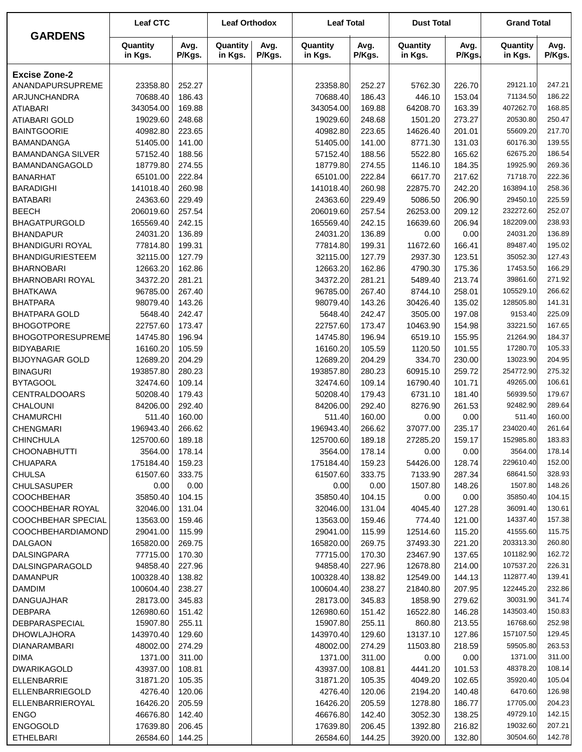|                               | <b>Leaf CTC</b>        |                  | <b>Leaf Orthodox</b> |                | <b>Leaf Total</b>      |                  | <b>Dust Total</b>   |                  | <b>Grand Total</b>     |                  |  |
|-------------------------------|------------------------|------------------|----------------------|----------------|------------------------|------------------|---------------------|------------------|------------------------|------------------|--|
| <b>GARDENS</b>                | Quantity<br>in Kgs.    | Avg.<br>P/Kgs.   | Quantity<br>in Kgs.  | Avg.<br>P/Kgs. | Quantity<br>in Kgs.    | Avg.<br>P/Kgs.   | Quantity<br>in Kgs. | Avg.<br>P/Kgs.   | Quantity<br>in Kgs.    | Avg.<br>P/Kgs.   |  |
| <b>Excise Zone-2</b>          |                        |                  |                      |                |                        |                  |                     |                  |                        |                  |  |
| ANANDAPURSUPREME              | 23358.80               | 252.27           |                      |                | 23358.80               | 252.27           | 5762.30             | 226.70           | 29121.10               | 247.21           |  |
| ARJUNCHANDRA                  | 70688.40               | 186.43           |                      |                | 70688.40               | 186.43           | 446.10              | 153.04           | 71134.50               | 186.22           |  |
| <b>ATIABARI</b>               | 343054.00              | 169.88           |                      |                | 343054.00              | 169.88           | 64208.70            | 163.39           | 407262.70              | 168.85           |  |
| <b>ATIABARI GOLD</b>          | 19029.60               | 248.68           |                      |                | 19029.60               | 248.68           | 1501.20             | 273.27           | 20530.80               | 250.47           |  |
| <b>BAINTGOORIE</b>            | 40982.80               | 223.65           |                      |                | 40982.80               | 223.65           | 14626.40            | 201.01           | 55609.20               | 217.70           |  |
| <b>BAMANDANGA</b>             | 51405.00               | 141.00           |                      |                | 51405.00               | 141.00           | 8771.30             | 131.03           | 60176.30               | 139.55           |  |
| <b>BAMANDANGA SILVER</b>      | 57152.40               | 188.56           |                      |                | 57152.40               | 188.56           | 5522.80             | 165.62           | 62675.20               | 186.54           |  |
| BAMANDANGAGOLD                | 18779.80               | 274.55           |                      |                | 18779.80               | 274.55           | 1146.10             | 184.35           | 19925.90               | 269.36           |  |
| <b>BANARHAT</b>               | 65101.00               | 222.84           |                      |                | 65101.00               | 222.84           | 6617.70             | 217.62           | 71718.70               | 222.36           |  |
| <b>BARADIGHI</b>              | 141018.40              | 260.98           |                      |                | 141018.40              | 260.98           | 22875.70            | 242.20           | 163894.10              | 258.36           |  |
| <b>BATABARI</b>               | 24363.60               | 229.49           |                      |                | 24363.60               | 229.49           | 5086.50             | 206.90           | 29450.10               | 225.59           |  |
| <b>BEECH</b>                  | 206019.60              | 257.54           |                      |                | 206019.60              | 257.54           | 26253.00            | 209.12           | 232272.60              | 252.07           |  |
| <b>BHAGATPURGOLD</b>          | 165569.40              | 242.15           |                      |                | 165569.40              | 242.15           | 16639.60            | 206.94           | 182209.00              | 238.93           |  |
| <b>BHANDAPUR</b>              | 24031.20               | 136.89           |                      |                | 24031.20               | 136.89           | 0.00                | 0.00             | 24031.20               | 136.89           |  |
| <b>BHANDIGURI ROYAL</b>       | 77814.80               | 199.31           |                      |                | 77814.80               | 199.31           | 11672.60            | 166.41           | 89487.40               | 195.02           |  |
| <b>BHANDIGURIESTEEM</b>       | 32115.00               | 127.79           |                      |                | 32115.00               | 127.79           | 2937.30             | 123.51           | 35052.30               | 127.43           |  |
| <b>BHARNOBARI</b>             | 12663.20               | 162.86           |                      |                | 12663.20               | 162.86           | 4790.30             | 175.36           | 17453.50               | 166.29           |  |
| <b>BHARNOBARI ROYAL</b>       | 34372.20               | 281.21           |                      |                | 34372.20               | 281.21           | 5489.40             | 213.74           | 39861.60               | 271.92           |  |
| <b>BHATKAWA</b>               | 96785.00               | 267.40           |                      |                | 96785.00               | 267.40           | 8744.10             | 258.01           | 105529.10              | 266.62           |  |
| <b>BHATPARA</b>               | 98079.40               | 143.26           |                      |                | 98079.40               | 143.26           | 30426.40            | 135.02           | 128505.80              | 141.31           |  |
| <b>BHATPARA GOLD</b>          | 5648.40                | 242.47           |                      |                | 5648.40                | 242.47           | 3505.00             | 197.08           | 9153.40                | 225.09           |  |
| <b>BHOGOTPORE</b>             | 22757.60               | 173.47           |                      |                | 22757.60               | 173.47           | 10463.90            | 154.98           | 33221.50               | 167.65           |  |
| BHOGOTPORESUPREME             | 14745.80               | 196.94           |                      |                | 14745.80               | 196.94           | 6519.10             | 155.95           | 21264.90               | 184.37           |  |
| <b>BIDYABARIE</b>             | 16160.20               | 105.59           |                      |                | 16160.20               | 105.59           | 1120.50             | 101.55           | 17280.70               | 105.33           |  |
| <b>BIJOYNAGAR GOLD</b>        | 12689.20               | 204.29           |                      |                | 12689.20               | 204.29           | 334.70              | 230.00           | 13023.90               | 204.95           |  |
| <b>BINAGURI</b>               | 193857.80              | 280.23           |                      |                | 193857.80              | 280.23           | 60915.10            | 259.72           | 254772.90              | 275.32           |  |
| <b>BYTAGOOL</b>               | 32474.60               | 109.14           |                      |                | 32474.60               | 109.14           | 16790.40            | 101.71           | 49265.00               | 106.61           |  |
| <b>CENTRALDOOARS</b>          | 50208.40               | 179.43           |                      |                | 50208.40               | 179.43           | 6731.10             | 181.40           | 56939.50               | 179.67           |  |
| CHALOUNI                      | 84206.00               | 292.40           |                      |                | 84206.00               | 292.40           | 8276.90             | 261.53           | 92482.90               | 289.64           |  |
| <b>CHAMURCHI</b>              | 511.40                 | 160.00           |                      |                | 511.40                 | 160.00           | 0.00                | 0.00             | 511.40                 | 160.00           |  |
| <b>CHENGMARI</b><br>CHINCHULA | 196943.40<br>125700.60 | 266.62<br>189.18 |                      |                | 196943.40<br>125700.60 | 266.62<br>189.18 | 37077.00            | 235.17<br>159.17 | 234020.40<br>152985.80 | 261.64<br>183.83 |  |
| <b>CHOONABHUTTI</b>           | 3564.00                | 178.14           |                      |                | 3564.00                | 178.14           | 27285.20            | 0.00             | 3564.00                | 178.14           |  |
| <b>CHUAPARA</b>               | 175184.40              | 159.23           |                      |                | 175184.40              | 159.23           | 0.00<br>54426.00    | 128.74           | 229610.40              | 152.00           |  |
| <b>CHULSA</b>                 | 61507.60               | 333.75           |                      |                | 61507.60               | 333.75           | 7133.90             | 287.34           | 68641.50               | 328.93           |  |
| <b>CHULSASUPER</b>            | 0.00                   | 0.00             |                      |                | 0.00                   | 0.00             | 1507.80             | 148.26           | 1507.80                | 148.26           |  |
| <b>COOCHBEHAR</b>             | 35850.40               | 104.15           |                      |                | 35850.40               | 104.15           | 0.00                | 0.00             | 35850.40               | 104.15           |  |
| COOCHBEHAR ROYAL              | 32046.00               | 131.04           |                      |                | 32046.00               | 131.04           | 4045.40             | 127.28           | 36091.40               | 130.61           |  |
| COOCHBEHAR SPECIAL            | 13563.00               | 159.46           |                      |                | 13563.00               | 159.46           | 774.40              | 121.00           | 14337.40               | 157.38           |  |
| COOCHBEHARDIAMOND             | 29041.00               | 115.99           |                      |                | 29041.00               | 115.99           | 12514.60            | 115.20           | 41555.60               | 115.75           |  |
| DALGAON                       | 165820.00              | 269.75           |                      |                | 165820.00              | 269.75           | 37493.30            | 221.20           | 203313.30              | 260.80           |  |
| DALSINGPARA                   | 77715.00               | 170.30           |                      |                | 77715.00               | 170.30           | 23467.90            | 137.65           | 101182.90              | 162.72           |  |
| DALSINGPARAGOLD               | 94858.40               | 227.96           |                      |                | 94858.40               | 227.96           | 12678.80            | 214.00           | 107537.20              | 226.31           |  |
| <b>DAMANPUR</b>               | 100328.40              | 138.82           |                      |                | 100328.40              | 138.82           | 12549.00            | 144.13           | 112877.40              | 139.41           |  |
| <b>DAMDIM</b>                 | 100604.40              | 238.27           |                      |                | 100604.40              | 238.27           | 21840.80            | 207.95           | 122445.20              | 232.86           |  |
| DANGUAJHAR                    | 28173.00               | 345.83           |                      |                | 28173.00               | 345.83           | 1858.90             | 279.62           | 30031.90               | 341.74           |  |
| <b>DEBPARA</b>                | 126980.60              | 151.42           |                      |                | 126980.60              | 151.42           | 16522.80            | 146.28           | 143503.40              | 150.83           |  |
| DEBPARASPECIAL                | 15907.80               | 255.11           |                      |                | 15907.80               | 255.11           | 860.80              | 213.55           | 16768.60               | 252.98           |  |
| <b>DHOWLAJHORA</b>            | 143970.40              | 129.60           |                      |                | 143970.40              | 129.60           | 13137.10            | 127.86           | 157107.50              | 129.45           |  |
| DIANARAMBARI                  | 48002.00               | 274.29           |                      |                | 48002.00               | 274.29           | 11503.80            | 218.59           | 59505.80               | 263.53           |  |
| <b>DIMA</b>                   | 1371.00                | 311.00           |                      |                | 1371.00                | 311.00           | 0.00                | 0.00             | 1371.00                | 311.00           |  |
| DWARIKAGOLD                   | 43937.00               | 108.81           |                      |                | 43937.00               | 108.81           | 4441.20             | 101.53           | 48378.20               | 108.14           |  |
| ELLENBARRIE                   | 31871.20               | 105.35           |                      |                | 31871.20               | 105.35           | 4049.20             | 102.65           | 35920.40               | 105.04           |  |
| ELLENBARRIEGOLD               | 4276.40                | 120.06           |                      |                | 4276.40                | 120.06           | 2194.20             | 140.48           | 6470.60                | 126.98           |  |
| ELLENBARRIEROYAL              | 16426.20               | 205.59           |                      |                | 16426.20               | 205.59           | 1278.80             | 186.77           | 17705.00               | 204.23           |  |
| <b>ENGO</b>                   | 46676.80               | 142.40           |                      |                | 46676.80               | 142.40           | 3052.30             | 138.25           | 49729.10               | 142.15           |  |
| <b>ENGOGOLD</b>               | 17639.80               | 206.45           |                      |                | 17639.80               | 206.45           | 1392.80             | 216.82           | 19032.60               | 207.21           |  |
| <b>ETHELBARI</b>              | 26584.60               | 144.25           |                      |                | 26584.60               | 144.25           | 3920.00             | 132.80           | 30504.60               | 142.78           |  |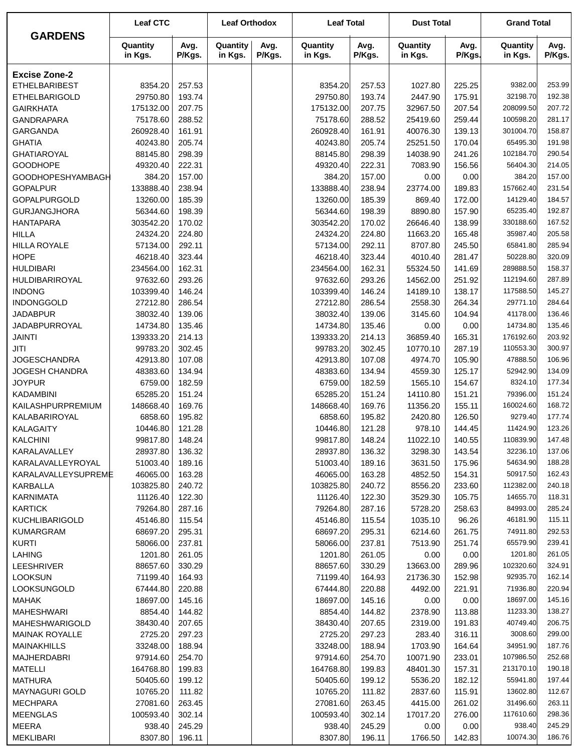|                          | <b>Leaf CTC</b>     |                | <b>Leaf Orthodox</b> |                | <b>Leaf Total</b>   |                | <b>Dust Total</b>   |                | <b>Grand Total</b>  |                |  |
|--------------------------|---------------------|----------------|----------------------|----------------|---------------------|----------------|---------------------|----------------|---------------------|----------------|--|
| <b>GARDENS</b>           | Quantity<br>in Kgs. | Avg.<br>P/Kgs. | Quantity<br>in Kgs.  | Avg.<br>P/Kgs. | Quantity<br>in Kgs. | Avg.<br>P/Kgs. | Quantity<br>in Kgs. | Avg.<br>P/Kgs. | Quantity<br>in Kgs. | Avg.<br>P/Kgs. |  |
| <b>Excise Zone-2</b>     |                     |                |                      |                |                     |                |                     |                |                     |                |  |
| <b>ETHELBARIBEST</b>     | 8354.20             | 257.53         |                      |                | 8354.20             | 257.53         | 1027.80             | 225.25         | 9382.00             | 253.99         |  |
| <b>ETHELBARIGOLD</b>     | 29750.80            | 193.74         |                      |                | 29750.80            | 193.74         | 2447.90             | 175.91         | 32198.70            | 192.38         |  |
| <b>GAIRKHATA</b>         | 175132.00           | 207.75         |                      |                | 175132.00           | 207.75         | 32967.50            | 207.54         | 208099.50           | 207.72         |  |
| <b>GANDRAPARA</b>        | 75178.60            | 288.52         |                      |                | 75178.60            | 288.52         | 25419.60            | 259.44         | 100598.20           | 281.17         |  |
| <b>GARGANDA</b>          | 260928.40           | 161.91         |                      |                | 260928.40           | 161.91         | 40076.30            | 139.13         | 301004.70           | 158.87         |  |
| <b>GHATIA</b>            | 40243.80            | 205.74         |                      |                | 40243.80            | 205.74         | 25251.50            | 170.04         | 65495.30            | 191.98         |  |
| <b>GHATIAROYAL</b>       | 88145.80            | 298.39         |                      |                | 88145.80            | 298.39         | 14038.90            | 241.26         | 102184.70           | 290.54         |  |
| <b>GOODHOPE</b>          | 49320.40            | 222.31         |                      |                | 49320.40            | 222.31         | 7083.90             | 156.56         | 56404.30            | 214.05         |  |
| <b>GOODHOPESHYAMBAGH</b> | 384.20              | 157.00         |                      |                | 384.20              | 157.00         | 0.00                | 0.00           | 384.20              | 157.00         |  |
| <b>GOPALPUR</b>          | 133888.40           | 238.94         |                      |                | 133888.40           | 238.94         | 23774.00            | 189.83         | 157662.40           | 231.54         |  |
| <b>GOPALPURGOLD</b>      | 13260.00            | 185.39         |                      |                | 13260.00            | 185.39         | 869.40              | 172.00         | 14129.40            | 184.57         |  |
| <b>GURJANGJHORA</b>      | 56344.60            | 198.39         |                      |                | 56344.60            | 198.39         | 8890.80             | 157.90         | 65235.40            | 192.87         |  |
| <b>HANTAPARA</b>         | 303542.20           | 170.02         |                      |                | 303542.20           | 170.02         | 26646.40            | 138.99         | 330188.60           | 167.52         |  |
| <b>HILLA</b>             | 24324.20            | 224.80         |                      |                | 24324.20            | 224.80         | 11663.20            | 165.48         | 35987.40            | 205.58         |  |
| <b>HILLA ROYALE</b>      | 57134.00            | 292.11         |                      |                | 57134.00            | 292.11         | 8707.80             | 245.50         | 65841.80            | 285.94         |  |
| <b>HOPE</b>              | 46218.40            | 323.44         |                      |                | 46218.40            | 323.44         | 4010.40             | 281.47         | 50228.80            | 320.09         |  |
| <b>HULDIBARI</b>         | 234564.00           | 162.31         |                      |                | 234564.00           | 162.31         | 55324.50            | 141.69         | 289888.50           | 158.37         |  |
| HULDIBARIROYAL           | 97632.60            | 293.26         |                      |                | 97632.60            | 293.26         | 14562.00            | 251.92         | 112194.60           | 287.89         |  |
| <b>INDONG</b>            | 103399.40           | 146.24         |                      |                | 103399.40           | 146.24         | 14189.10            | 138.17         | 117588.50           | 145.27         |  |
| <b>INDONGGOLD</b>        | 27212.80            | 286.54         |                      |                | 27212.80            | 286.54         | 2558.30             | 264.34         | 29771.10            | 284.64         |  |
| <b>JADABPUR</b>          | 38032.40            | 139.06         |                      |                | 38032.40            | 139.06         | 3145.60             | 104.94         | 41178.00            | 136.46         |  |
| <b>JADABPURROYAL</b>     | 14734.80            | 135.46         |                      |                | 14734.80            | 135.46         | 0.00                | 0.00           | 14734.80            | 135.46         |  |
| <b>JAINTI</b>            | 139333.20           | 214.13         |                      |                | 139333.20           | 214.13         | 36859.40            | 165.31         | 176192.60           | 203.92         |  |
| JITI                     | 99783.20            | 302.45         |                      |                | 99783.20            | 302.45         | 10770.10            | 287.19         | 110553.30           | 300.97         |  |
| <b>JOGESCHANDRA</b>      | 42913.80            | 107.08         |                      |                | 42913.80            | 107.08         | 4974.70             | 105.90         | 47888.50            | 106.96         |  |
| <b>JOGESH CHANDRA</b>    | 48383.60            | 134.94         |                      |                | 48383.60            | 134.94         | 4559.30             | 125.17         | 52942.90            | 134.09         |  |
| <b>JOYPUR</b>            | 6759.00             | 182.59         |                      |                | 6759.00             | 182.59         | 1565.10             | 154.67         | 8324.10             | 177.34         |  |
| <b>KADAMBINI</b>         | 65285.20            | 151.24         |                      |                | 65285.20            | 151.24         | 14110.80            | 151.21         | 79396.00            | 151.24         |  |
| KAILASHPURPREMIUM        | 148668.40           | 169.76         |                      |                | 148668.40           | 169.76         | 11356.20            | 155.11         | 160024.60           | 168.72         |  |
| KALABARIROYAL            | 6858.60             | 195.82         |                      |                | 6858.60             | 195.82         | 2420.80             | 126.50         | 9279.40             | 177.74         |  |
| <b>KALAGAITY</b>         | 10446.80            | 121.28         |                      |                | 10446.80            | 121.28         | 978.10              | 144.45         | 11424.90            | 123.26         |  |
| KALCHINI                 | 99817.80            | 148.24         |                      |                | 99817.80            | 148.24         | 11022.10            | 140.55         | 110839.90           | 147.48         |  |
| KARALAVALLEY             | 28937.80            | 136.32         |                      |                | 28937.80            | 136.32         | 3298.30             | 143.54         | 32236.10            | 137.06         |  |
| KARALAVALLEYROYAL        | 51003.40            | 189.16         |                      |                | 51003.40            | 189.16         | 3631.50             | 175.96         | 54634.90            | 188.28         |  |
| KARALAVALLEYSUPREME      | 46065.00            | 163.28         |                      |                | 46065.00            | 163.28         | 4852.50             | 154.31         | 50917.50            | 162.43         |  |
| KARBALLA                 | 103825.80           | 240.72         |                      |                | 103825.80           | 240.72         | 8556.20             | 233.60         | 112382.00           | 240.18         |  |
| <b>KARNIMATA</b>         | 11126.40            | 122.30         |                      |                | 11126.40            | 122.30         | 3529.30             | 105.75         | 14655.70            | 118.31         |  |
| <b>KARTICK</b>           | 79264.80            | 287.16         |                      |                | 79264.80            | 287.16         | 5728.20             | 258.63         | 84993.00            | 285.24         |  |
| <b>KUCHLIBARIGOLD</b>    | 45146.80            | 115.54         |                      |                | 45146.80            | 115.54         | 1035.10             | 96.26          | 46181.90            | 115.11         |  |
| <b>KUMARGRAM</b>         | 68697.20            | 295.31         |                      |                | 68697.20            | 295.31         | 6214.60             | 261.75         | 74911.80            | 292.53         |  |
| <b>KURTI</b>             | 58066.00            | 237.81         |                      |                | 58066.00            | 237.81         | 7513.90             | 251.74         | 65579.90            | 239.41         |  |
| <b>LAHING</b>            | 1201.80             | 261.05         |                      |                | 1201.80             | 261.05         | 0.00                | 0.00           | 1201.80             | 261.05         |  |
| LEESHRIVER               | 88657.60            | 330.29         |                      |                | 88657.60            | 330.29         | 13663.00            | 289.96         | 102320.60           | 324.91         |  |
| <b>LOOKSUN</b>           | 71199.40            | 164.93         |                      |                | 71199.40            | 164.93         | 21736.30            | 152.98         | 92935.70            | 162.14         |  |
| <b>LOOKSUNGOLD</b>       | 67444.80            | 220.88         |                      |                | 67444.80            | 220.88         | 4492.00             | 221.91         | 71936.80            | 220.94         |  |
| <b>MAHAK</b>             | 18697.00            | 145.16         |                      |                | 18697.00            | 145.16         | 0.00                | 0.00           | 18697.00            | 145.16         |  |
| <b>MAHESHWARI</b>        | 8854.40             | 144.82         |                      |                | 8854.40             | 144.82         | 2378.90             | 113.88         | 11233.30            | 138.27         |  |
| MAHESHWARIGOLD           | 38430.40            | 207.65         |                      |                | 38430.40            | 207.65         | 2319.00             | 191.83         | 40749.40            | 206.75         |  |
| <b>MAINAK ROYALLE</b>    | 2725.20             | 297.23         |                      |                | 2725.20             | 297.23         | 283.40              | 316.11         | 3008.60             | 299.00         |  |
| <b>MAINAKHILLS</b>       | 33248.00            | 188.94         |                      |                | 33248.00            | 188.94         | 1703.90             | 164.64         | 34951.90            | 187.76         |  |
| <b>MAJHERDABRI</b>       | 97914.60            | 254.70         |                      |                | 97914.60            | 254.70         | 10071.90            | 233.01         | 107986.50           | 252.68         |  |
| MATELLI                  | 164768.80           | 199.83         |                      |                | 164768.80           | 199.83         | 48401.30            | 157.31         | 213170.10           | 190.18         |  |
| <b>MATHURA</b>           | 50405.60            | 199.12         |                      |                | 50405.60            | 199.12         | 5536.20             | 182.12         | 55941.80            | 197.44         |  |
| MAYNAGURI GOLD           | 10765.20            | 111.82         |                      |                | 10765.20            | 111.82         | 2837.60             | 115.91         | 13602.80            | 112.67         |  |
| <b>MECHPARA</b>          | 27081.60            | 263.45         |                      |                | 27081.60            | 263.45         | 4415.00             | 261.02         | 31496.60            | 263.11         |  |
| <b>MEENGLAS</b>          | 100593.40           | 302.14         |                      |                | 100593.40           | 302.14         | 17017.20            | 276.00         | 117610.60           | 298.36         |  |
| MEERA                    | 938.40              | 245.29         |                      |                | 938.40              | 245.29         | 0.00                | 0.00           | 938.40              | 245.29         |  |
| <b>MEKLIBARI</b>         | 8307.80             | 196.11         |                      |                | 8307.80             | 196.11         | 1766.50             | 142.83         | 10074.30            | 186.76         |  |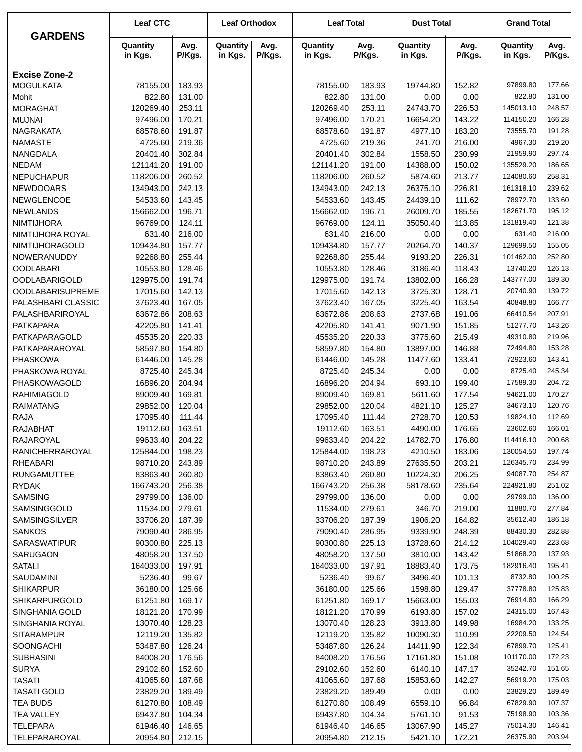|                         | <b>Leaf CTC</b>     |                | <b>Leaf Orthodox</b> |                | <b>Leaf Total</b>   |                | <b>Dust Total</b>   |                | <b>Grand Total</b>    |                  |
|-------------------------|---------------------|----------------|----------------------|----------------|---------------------|----------------|---------------------|----------------|-----------------------|------------------|
| <b>GARDENS</b>          | Quantity<br>in Kgs. | Avg.<br>P/Kgs. | Quantity<br>in Kgs.  | Avg.<br>P/Kgs. | Quantity<br>in Kgs. | Avg.<br>P/Kgs. | Quantity<br>in Kgs. | Avg.<br>P/Kgs. | Quantity<br>in Kgs.   | Avg.<br>P/Kgs.   |
| <b>Excise Zone-2</b>    |                     |                |                      |                |                     |                |                     |                |                       |                  |
| <b>MOGULKATA</b>        | 78155.00            | 183.93         |                      |                | 78155.00            | 183.93         | 19744.80            | 152.82         | 97899.80              | 177.66           |
| Mohit                   | 822.80              | 131.00         |                      |                | 822.80              | 131.00         | 0.00                | 0.00           | 822.80                | 131.00           |
| <b>MORAGHAT</b>         | 120269.40           | 253.11         |                      |                | 120269.40           | 253.11         | 24743.70            | 226.53         | 145013.10             | 248.57           |
| <b>MUJNAI</b>           | 97496.00            | 170.21         |                      |                | 97496.00            | 170.21         | 16654.20            | 143.22         | 114150.20             | 166.28           |
| <b>NAGRAKATA</b>        | 68578.60            | 191.87         |                      |                | 68578.60            | 191.87         | 4977.10             | 183.20         | 73555.70              | 191.28           |
| <b>NAMASTE</b>          | 4725.60             | 219.36         |                      |                | 4725.60             | 219.36         | 241.70              | 216.00         | 4967.30               | 219.20           |
| NANGDALA                | 20401.40            | 302.84         |                      |                | 20401.40            | 302.84         | 1558.50             | 230.99         | 21959.90              | 297.74           |
| <b>NEDAM</b>            | 121141.20           | 191.00         |                      |                | 121141.20           | 191.00         | 14388.00            | 150.02         | 135529.20             | 186.65           |
| <b>NEPUCHAPUR</b>       | 118206.00           | 260.52         |                      |                | 118206.00           | 260.52         | 5874.60             | 213.77         | 124080.60             | 258.31           |
| <b>NEWDOOARS</b>        | 134943.00           | 242.13         |                      |                | 134943.00           | 242.13         | 26375.10            | 226.81         | 161318.10             | 239.62           |
| NEWGLENCOE              | 54533.60            | 143.45         |                      |                | 54533.60            | 143.45         | 24439.10            | 111.62         | 78972.70              | 133.60           |
| <b>NEWLANDS</b>         | 156662.00           | 196.71         |                      |                | 156662.00           | 196.71         | 26009.70            | 185.55         | 182671.70             | 195.12           |
| <b>NIMTIJHORA</b>       | 96769.00            | 124.11         |                      |                | 96769.00            | 124.11         | 35050.40            | 113.85         | 131819.40             | 121.38           |
| NIMTIJHORA ROYAL        | 631.40              | 216.00         |                      |                | 631.40              | 216.00         | 0.00                | 0.00           | 631.40                | 216.00           |
| NIMTIJHORAGOLD          | 109434.80           | 157.77         |                      |                | 109434.80           | 157.77         | 20264.70            | 140.37         | 129699.50             | 155.05           |
| NOWERANUDDY             | 92268.80            | 255.44         |                      |                | 92268.80            | 255.44         | 9193.20             | 226.31         | 101462.00             | 252.80           |
| <b>OODLABARI</b>        | 10553.80            | 128.46         |                      |                | 10553.80            | 128.46         | 3186.40             | 118.43         | 13740.20              | 126.13           |
| <b>OODLABARIGOLD</b>    | 129975.00           | 191.74         |                      |                | 129975.00           | 191.74         | 13802.00            | 166.28         | 143777.00             | 189.30           |
| <b>OODLABARISUPREME</b> | 17015.60            | 142.13         |                      |                | 17015.60            | 142.13         | 3725.30             | 128.71         | 20740.90              | 139.72           |
| PALASHBARI CLASSIC      | 37623.40            | 167.05         |                      |                | 37623.40            | 167.05         | 3225.40             | 163.54         | 40848.80              | 166.77           |
| PALASHBARIROYAL         | 63672.86            | 208.63         |                      |                | 63672.86            | 208.63         | 2737.68             | 191.06         | 66410.54              | 207.91           |
| <b>PATKAPARA</b>        | 42205.80            | 141.41         |                      |                | 42205.80            | 141.41         | 9071.90             | 151.85         | 51277.70              | 143.26           |
| PATKAPARAGOLD           | 45535.20            | 220.33         |                      |                | 45535.20            | 220.33         | 3775.60             | 215.49         | 49310.80              | 219.96           |
| PATKAPARAROYAL          | 58597.80            | 154.80         |                      |                | 58597.80            | 154.80         | 13897.00            | 146.88         | 72494.80              | 153.28           |
| <b>PHASKOWA</b>         | 61446.00            | 145.28         |                      |                | 61446.00            | 145.28         | 11477.60            | 133.41         | 72923.60              | 143.41           |
| PHASKOWA ROYAL          | 8725.40             | 245.34         |                      |                | 8725.40             | 245.34         | 0.00                | 0.00           | 8725.40               | 245.34           |
| PHASKOWAGOLD            | 16896.20            | 204.94         |                      |                | 16896.20            | 204.94         | 693.10              | 199.40         | 17589.30              | 204.72           |
| <b>RAHIMIAGOLD</b>      | 89009.40            | 169.81         |                      |                | 89009.40            | 169.81         | 5611.60             | 177.54         | 94621.00              | 170.27           |
| <b>RAIMATANG</b>        | 29852.00            | 120.04         |                      |                | 29852.00            | 120.04         | 4821.10             | 125.27         | 34673.10              | 120.76           |
| <b>RAJA</b>             | 17095.40            | 111.44         |                      |                | 17095.40            | 111.44         | 2728.70             | 120.53         | 19824.10              | 112.69           |
| <b>RAJABHAT</b>         | 19112.60            | 163.51         |                      |                | 19112.60            | 163.51         | 4490.00             | 176.65         | 23602.60              | 166.01           |
| RAJAROYAL               | 99633.40            | 204.22         |                      |                | 99633.40            | 204.22         | 14782.70            | 176.80         | 114416.10             | 200.68           |
| RANICHERRAROYAL         | 125844.00           | 198.23         |                      |                | 125844.00           | 198.23         | 4210.50             | 183.06         | 130054.50             | 197.74           |
| <b>RHEABARI</b>         | 98710.20            | 243.89         |                      |                | 98710.20            | 243.89         | 27635.50            | 203.21         | 126345.70             | 234.99           |
| <b>RUNGAMUTTEE</b>      | 83863.40            | 260.80         |                      |                | 83863.40            | 260.80         | 10224.30            | 206.25         | 94087.70              | 254.87           |
| <b>RYDAK</b>            | 166743.20           | 256.38         |                      |                | 166743.20           | 256.38         | 58178.60            | 235.64         | 224921.80             | 251.02           |
| <b>SAMSING</b>          | 29799.00            | 136.00         |                      |                | 29799.00            | 136.00         | 0.00                | 0.00           | 29799.00              | 136.00           |
| SAMSINGGOLD             | 11534.00            | 279.61         |                      |                | 11534.00            | 279.61         | 346.70              | 219.00         | 11880.70              | 277.84           |
| SAMSINGSILVER           | 33706.20            | 187.39         |                      |                | 33706.20            | 187.39         | 1906.20             | 164.82         | 35612.40              | 186.18           |
| <b>SANKOS</b>           | 79090.40            | 286.95         |                      |                | 79090.40            | 286.95         | 9339.90             | 248.39         | 88430.30              | 282.88           |
| <b>SARASWATIPUR</b>     | 90300.80            | 225.13         |                      |                | 90300.80            | 225.13         | 13728.60            | 214.12         | 104029.40             | 223.68           |
| SARUGAON                | 48058.20            | 137.50         |                      |                | 48058.20            | 137.50         | 3810.00             | 143.42         | 51868.20              | 137.93           |
| <b>SATALI</b>           | 164033.00           | 197.91         |                      |                | 164033.00           | 197.91         | 18883.40            | 173.75         | 182916.40             | 195.41           |
| SAUDAMINI               | 5236.40             | 99.67          |                      |                | 5236.40             | 99.67          | 3496.40             | 101.13         | 8732.80               | 100.25           |
| <b>SHIKARPUR</b>        | 36180.00            | 125.66         |                      |                | 36180.00            | 125.66         | 1598.80             | 129.47         | 37778.80              | 125.83           |
| <b>SHIKARPURGOLD</b>    | 61251.80            | 169.17         |                      |                | 61251.80            | 169.17         | 15663.00            | 155.03         | 76914.80              | 166.29           |
| SINGHANIA GOLD          | 18121.20            | 170.99         |                      |                | 18121.20            | 170.99         | 6193.80             | 157.02         | 24315.00<br>16984.20  | 167.43<br>133.25 |
| SINGHANIA ROYAL         | 13070.40            | 128.23         |                      |                | 13070.40            | 128.23         | 3913.80             | 149.98         | 22209.50              | 124.54           |
| <b>SITARAMPUR</b>       | 12119.20            | 135.82         |                      |                | 12119.20            | 135.82         | 10090.30            | 110.99         |                       |                  |
| SOONGACHI               | 53487.80            | 126.24         |                      |                | 53487.80            | 126.24         | 14411.90            | 122.34         | 67899.70<br>101170.00 | 125.41<br>172.23 |
| <b>SUBHASINI</b>        | 84008.20            | 176.56         |                      |                | 84008.20            | 176.56         | 17161.80            | 151.08         |                       |                  |
| <b>SURYA</b>            | 29102.60            | 152.60         |                      |                | 29102.60            | 152.60         | 6140.10             | 147.17         | 35242.70              | 151.65           |
| <b>TASATI</b>           | 41065.60            | 187.68         |                      |                | 41065.60            | 187.68         | 15853.60            | 142.27         | 56919.20              | 175.03           |
| <b>TASATI GOLD</b>      | 23829.20            | 189.49         |                      |                | 23829.20            | 189.49         | 0.00                | 0.00           | 23829.20              | 189.49           |
| <b>TEA BUDS</b>         | 61270.80            | 108.49         |                      |                | 61270.80            | 108.49         | 6559.10             | 96.84          | 67829.90              | 107.37           |
| <b>TEA VALLEY</b>       | 69437.80            | 104.34         |                      |                | 69437.80            | 104.34         | 5761.10             | 91.53          | 75198.90<br>75014.30  | 103.36<br>146.41 |
| <b>TELEPARA</b>         | 61946.40            | 146.65         |                      |                | 61946.40            | 146.65         | 13067.90            | 145.27         |                       |                  |
| TELEPARAROYAL           | 20954.80            | 212.15         |                      |                | 20954.80            | 212.15         | 5421.10             | 172.21         | 26375.90              | 203.94           |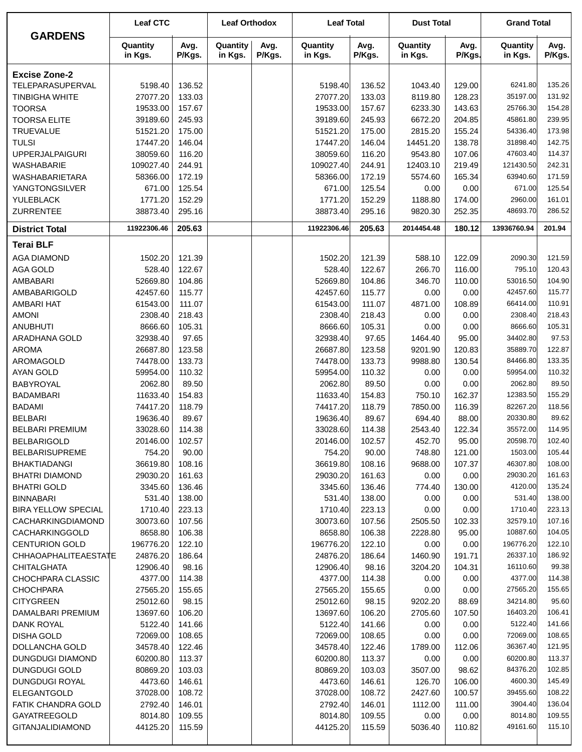| <b>GARDENS</b>                            | <b>Leaf CTC</b>      |                  | <b>Leaf Orthodox</b> |                | <b>Leaf Total</b>    |                  | <b>Dust Total</b>   |                | <b>Grand Total</b>   |                  |
|-------------------------------------------|----------------------|------------------|----------------------|----------------|----------------------|------------------|---------------------|----------------|----------------------|------------------|
|                                           | Quantity<br>in Kgs.  | Avg.<br>P/Kgs.   | Quantity<br>in Kgs.  | Avg.<br>P/Kgs. | Quantity<br>in Kgs.  | Avg.<br>P/Kgs.   | Quantity<br>in Kgs. | Avg.<br>P/Kgs. | Quantity<br>in Kgs.  | Avg.<br>P/Kgs.   |
| <b>Excise Zone-2</b>                      |                      |                  |                      |                |                      |                  |                     |                |                      |                  |
| TELEPARASUPERVAL                          | 5198.40              | 136.52           |                      |                | 5198.40              | 136.52           | 1043.40             | 129.00         | 6241.80              | 135.26           |
| <b>TINBIGHA WHITE</b>                     | 27077.20             | 133.03           |                      |                | 27077.20             | 133.03           | 8119.80             | 128.23         | 35197.00             | 131.92           |
| <b>TOORSA</b>                             | 19533.00             | 157.67           |                      |                | 19533.00             | 157.67           | 6233.30             | 143.63         | 25766.30             | 154.28           |
| <b>TOORSA ELITE</b>                       | 39189.60             | 245.93           |                      |                | 39189.60             | 245.93           | 6672.20             | 204.85         | 45861.80             | 239.95           |
| <b>TRUEVALUE</b>                          | 51521.20             | 175.00           |                      |                | 51521.20             | 175.00           | 2815.20             | 155.24         | 54336.40             | 173.98           |
| <b>TULSI</b>                              | 17447.20             | 146.04           |                      |                | 17447.20             | 146.04           | 14451.20            | 138.78         | 31898.40             | 142.75           |
| <b>UPPERJALPAIGURI</b>                    | 38059.60             | 116.20           |                      |                | 38059.60             | 116.20           | 9543.80             | 107.06         | 47603.40             | 114.37           |
| WASHABARIE                                | 109027.40            | 244.91           |                      |                | 109027.40            | 244.91           | 12403.10            | 219.49         | 121430.50            | 242.31           |
| <b>WASHABARIETARA</b>                     | 58366.00             | 172.19           |                      |                | 58366.00             | 172.19           | 5574.60             | 165.34         | 63940.60             | 171.59           |
| <b>YANGTONGSILVER</b><br>YULEBLACK        | 671.00<br>1771.20    | 125.54<br>152.29 |                      |                | 671.00<br>1771.20    | 125.54<br>152.29 | 0.00<br>1188.80     | 0.00<br>174.00 | 671.00<br>2960.00    | 125.54<br>161.01 |
| <b>ZURRENTEE</b>                          | 38873.40             | 295.16           |                      |                | 38873.40             | 295.16           | 9820.30             | 252.35         | 48693.70             | 286.52           |
| <b>District Total</b>                     | 11922306.46          | 205.63           |                      |                | 11922306.46          | 205.63           | 2014454.48          | 180.12         | 13936760.94          | 201.94           |
|                                           |                      |                  |                      |                |                      |                  |                     |                |                      |                  |
| <b>Terai BLF</b>                          |                      |                  |                      |                |                      |                  |                     |                |                      |                  |
| <b>AGA DIAMOND</b>                        | 1502.20              | 121.39           |                      |                | 1502.20              | 121.39           | 588.10              | 122.09         | 2090.30              | 121.59           |
| <b>AGA GOLD</b>                           | 528.40               | 122.67           |                      |                | 528.40               | 122.67           | 266.70              | 116.00         | 795.10               | 120.43           |
| AMBABARI<br>AMBABARIGOLD                  | 52669.80<br>42457.60 | 104.86<br>115.77 |                      |                | 52669.80<br>42457.60 | 104.86<br>115.77 | 346.70<br>0.00      | 110.00<br>0.00 | 53016.50<br>42457.60 | 104.90<br>115.77 |
| AMBARI HAT                                | 61543.00             | 111.07           |                      |                | 61543.00             | 111.07           | 4871.00             | 108.89         | 66414.00             | 110.91           |
| <b>AMONI</b>                              | 2308.40              | 218.43           |                      |                | 2308.40              | 218.43           | 0.00                | 0.00           | 2308.40              | 218.43           |
| <b>ANUBHUTI</b>                           | 8666.60              | 105.31           |                      |                | 8666.60              | 105.31           | 0.00                | 0.00           | 8666.60              | 105.31           |
| ARADHANA GOLD                             | 32938.40             | 97.65            |                      |                | 32938.40             | 97.65            | 1464.40             | 95.00          | 34402.80             | 97.53            |
| <b>AROMA</b>                              | 26687.80             | 123.58           |                      |                | 26687.80             | 123.58           | 9201.90             | 120.83         | 35889.70             | 122.87           |
| AROMAGOLD                                 | 74478.00             | 133.73           |                      |                | 74478.00             | 133.73           | 9988.80             | 130.54         | 84466.80             | 133.35           |
| <b>AYAN GOLD</b>                          | 59954.00             | 110.32           |                      |                | 59954.00             | 110.32           | 0.00                | 0.00           | 59954.00             | 110.32           |
| <b>BABYROYAL</b>                          | 2062.80              | 89.50            |                      |                | 2062.80              | 89.50            | 0.00                | 0.00           | 2062.80              | 89.50            |
| <b>BADAMBARI</b>                          | 11633.40             | 154.83           |                      |                | 11633.40             | 154.83           | 750.10              | 162.37         | 12383.50             | 155.29           |
| <b>BADAMI</b>                             | 74417.20             | 118.79           |                      |                | 74417.20             | 118.79           | 7850.00             | 116.39         | 82267.20             | 118.56           |
| <b>BELBARI</b>                            | 19636.40             | 89.67            |                      |                | 19636.40             | 89.67            | 694.40              | 88.00          | 20330.80             | 89.62            |
| <b>BELBARI PREMIUM</b>                    | 33028.60             | 114.38           |                      |                | 33028.60             | 114.38           | 2543.40             | 122.34         | 35572.00             | 114.95           |
| <b>BELBARIGOLD</b>                        | 20146.00             | 102.57           |                      |                | 20146.00             | 102.57           | 452.70              | 95.00          | 20598.70             | 102.40           |
| <b>BELBARISUPREME</b>                     | 754.20               | 90.00            |                      |                | 754.20               | 90.00            | 748.80              | 121.00         | 1503.00              | 105.44<br>108.00 |
| <b>BHAKTIADANGI</b>                       | 36619.80<br>29030.20 | 108.16<br>161.63 |                      |                | 36619.80<br>29030.20 | 108.16<br>161.63 | 9688.00<br>0.00     | 107.37<br>0.00 | 46307.80<br>29030.20 | 161.63           |
| BHATRI DIAMOND<br><b>BHATRI GOLD</b>      | 3345.60              | 136.46           |                      |                | 3345.60              | 136.46           | 774.40              | 130.00         | 4120.00              | 135.24           |
| <b>BINNABARI</b>                          | 531.40               | 138.00           |                      |                | 531.40               | 138.00           | 0.00                | 0.00           | 531.40               | 138.00           |
| <b>BIRA YELLOW SPECIAL</b>                | 1710.40              | 223.13           |                      |                | 1710.40              | 223.13           | 0.00                | 0.00           | 1710.40              | 223.13           |
| CACHARKINGDIAMOND                         | 30073.60             | 107.56           |                      |                | 30073.60             | 107.56           | 2505.50             | 102.33         | 32579.10             | 107.16           |
| <b>CACHARKINGGOLD</b>                     | 8658.80              | 106.38           |                      |                | 8658.80              | 106.38           | 2228.80             | 95.00          | 10887.60             | 104.05           |
| <b>CENTURION GOLD</b>                     | 196776.20            | 122.10           |                      |                | 196776.20            | 122.10           | 0.00                | 0.00           | 196776.20            | 122.10           |
| CHHAOAPHALITEAESTATE                      | 24876.20             | 186.64           |                      |                | 24876.20             | 186.64           | 1460.90             | 191.71         | 26337.10             | 186.92           |
| CHITALGHATA                               | 12906.40             | 98.16            |                      |                | 12906.40             | 98.16            | 3204.20             | 104.31         | 16110.60             | 99.38            |
| CHOCHPARA CLASSIC                         | 4377.00              | 114.38           |                      |                | 4377.00              | 114.38           | 0.00                | 0.00           | 4377.00              | 114.38           |
| <b>CHOCHPARA</b>                          | 27565.20             | 155.65           |                      |                | 27565.20             | 155.65           | 0.00                | 0.00           | 27565.20             | 155.65           |
| <b>CITYGREEN</b>                          | 25012.60             | 98.15            |                      |                | 25012.60             | 98.15            | 9202.20             | 88.69          | 34214.80             | 95.60            |
| DAMALBARI PREMIUM                         | 13697.60             | 106.20           |                      |                | 13697.60             | 106.20           | 2705.60             | 107.50         | 16403.20             | 106.41           |
| <b>DANK ROYAL</b>                         | 5122.40              | 141.66           |                      |                | 5122.40              | 141.66           | 0.00                | 0.00           | 5122.40              | 141.66           |
| <b>DISHA GOLD</b>                         | 72069.00             | 108.65           |                      |                | 72069.00             | 108.65           | 0.00                | 0.00           | 72069.00<br>36367.40 | 108.65<br>121.95 |
| DOLLANCHA GOLD<br><b>DUNGDUGI DIAMOND</b> | 34578.40<br>60200.80 | 122.46<br>113.37 |                      |                | 34578.40<br>60200.80 | 122.46<br>113.37 | 1789.00<br>0.00     | 112.06<br>0.00 | 60200.80             | 113.37           |
| <b>DUNGDUGI GOLD</b>                      | 80869.20             | 103.03           |                      |                | 80869.20             | 103.03           | 3507.00             | 98.62          | 84376.20             | 102.85           |
| <b>DUNGDUGI ROYAL</b>                     | 4473.60              | 146.61           |                      |                | 4473.60              | 146.61           | 126.70              | 106.00         | 4600.30              | 145.49           |
| <b>ELEGANTGOLD</b>                        | 37028.00             | 108.72           |                      |                | 37028.00             | 108.72           | 2427.60             | 100.57         | 39455.60             | 108.22           |
| FATIK CHANDRA GOLD                        | 2792.40              | 146.01           |                      |                | 2792.40              | 146.01           | 1112.00             | 111.00         | 3904.40              | 136.04           |
| <b>GAYATREEGOLD</b>                       | 8014.80              | 109.55           |                      |                | 8014.80              | 109.55           | 0.00                | 0.00           | 8014.80              | 109.55           |
| <b>GITANJALIDIAMOND</b>                   | 44125.20             | 115.59           |                      |                | 44125.20             | 115.59           | 5036.40             | 110.82         | 49161.60             | 115.10           |
|                                           |                      |                  |                      |                |                      |                  |                     |                |                      |                  |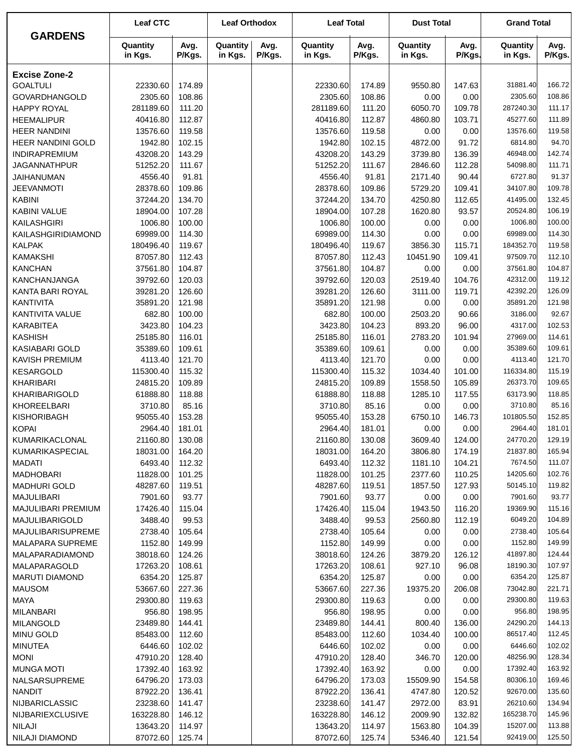| <b>GARDENS</b>            | <b>Leaf CTC</b>     |                | <b>Leaf Orthodox</b> |                | <b>Leaf Total</b>   |                | <b>Dust Total</b>   |                | <b>Grand Total</b>  |                |  |
|---------------------------|---------------------|----------------|----------------------|----------------|---------------------|----------------|---------------------|----------------|---------------------|----------------|--|
|                           | Quantity<br>in Kgs. | Avg.<br>P/Kgs. | Quantity<br>in Kgs.  | Avg.<br>P/Kgs. | Quantity<br>in Kgs. | Avg.<br>P/Kgs. | Quantity<br>in Kgs. | Avg.<br>P/Kgs. | Quantity<br>in Kgs. | Avg.<br>P/Kgs. |  |
| <b>Excise Zone-2</b>      |                     |                |                      |                |                     |                |                     |                |                     |                |  |
| <b>GOALTULI</b>           | 22330.60            | 174.89         |                      |                | 22330.60            | 174.89         | 9550.80             | 147.63         | 31881.40            | 166.72         |  |
| <b>GOVARDHANGOLD</b>      | 2305.60             | 108.86         |                      |                | 2305.60             | 108.86         | 0.00                | 0.00           | 2305.60             | 108.86         |  |
| <b>HAPPY ROYAL</b>        | 281189.60           | 111.20         |                      |                | 281189.60           | 111.20         | 6050.70             | 109.78         | 287240.30           | 111.17         |  |
| <b>HEEMALIPUR</b>         | 40416.80            | 112.87         |                      |                | 40416.80            | 112.87         | 4860.80             | 103.71         | 45277.60            | 111.89         |  |
| <b>HEER NANDINI</b>       | 13576.60            | 119.58         |                      |                | 13576.60            | 119.58         | 0.00                | 0.00           | 13576.60            | 119.58         |  |
| HEER NANDINI GOLD         | 1942.80             | 102.15         |                      |                | 1942.80             | 102.15         | 4872.00             | 91.72          | 6814.80             | 94.70          |  |
| INDIRAPREMIUM             | 43208.20            | 143.29         |                      |                | 43208.20            | 143.29         | 3739.80             | 136.39         | 46948.00            | 142.74         |  |
| <b>JAGANNATHPUR</b>       | 51252.20            | 111.67         |                      |                | 51252.20            | 111.67         | 2846.60             | 112.28         | 54098.80            | 111.71         |  |
| <b>JAIHANUMAN</b>         | 4556.40             | 91.81          |                      |                | 4556.40             | 91.81          | 2171.40             | 90.44          | 6727.80             | 91.37          |  |
| <b>JEEVANMOTI</b>         | 28378.60            | 109.86         |                      |                | 28378.60            | 109.86         | 5729.20             | 109.41         | 34107.80            | 109.78         |  |
| <b>KABINI</b>             | 37244.20            | 134.70         |                      |                | 37244.20            | 134.70         | 4250.80             | 112.65         | 41495.00            | 132.45         |  |
| <b>KABINI VALUE</b>       | 18904.00            | 107.28         |                      |                | 18904.00            | 107.28         | 1620.80             | 93.57          | 20524.80            | 106.19         |  |
| KAILASHGIRI               | 1006.80             | 100.00         |                      |                | 1006.80             | 100.00         | 0.00                | 0.00           | 1006.80             | 100.00         |  |
| KAILASHGIRIDIAMOND        | 69989.00            | 114.30         |                      |                | 69989.00            | 114.30         | 0.00                | 0.00           | 69989.00            | 114.30         |  |
| <b>KALPAK</b>             | 180496.40           | 119.67         |                      |                | 180496.40           | 119.67         | 3856.30             | 115.71         | 184352.70           | 119.58         |  |
| <b>KAMAKSHI</b>           | 87057.80            | 112.43         |                      |                | 87057.80            | 112.43         | 10451.90            | 109.41         | 97509.70            | 112.10         |  |
| <b>KANCHAN</b>            | 37561.80            | 104.87         |                      |                | 37561.80            | 104.87         | 0.00                | 0.00           | 37561.80            | 104.87         |  |
| <b>KANCHANJANGA</b>       | 39792.60            | 120.03         |                      |                | 39792.60            | 120.03         | 2519.40             | 104.76         | 42312.00            | 119.12         |  |
| KANTA BARI ROYAL          | 39281.20            | 126.60         |                      |                | 39281.20            | 126.60         | 3111.00             | 119.71         | 42392.20            | 126.09         |  |
| <b>KANTIVITA</b>          | 35891.20            | 121.98         |                      |                | 35891.20            | 121.98         | 0.00                | 0.00           | 35891.20            | 121.98         |  |
| KANTIVITA VALUE           | 682.80              | 100.00         |                      |                | 682.80              | 100.00         | 2503.20             | 90.66          | 3186.00             | 92.67          |  |
| <b>KARABITEA</b>          | 3423.80             | 104.23         |                      |                | 3423.80             | 104.23         | 893.20              | 96.00          | 4317.00             | 102.53         |  |
| <b>KASHISH</b>            | 25185.80            | 116.01         |                      |                | 25185.80            | 116.01         | 2783.20             | 101.94         | 27969.00            | 114.61         |  |
| <b>KASIABARI GOLD</b>     | 35389.60            | 109.61         |                      |                | 35389.60            | 109.61         | 0.00                | 0.00           | 35389.60            | 109.61         |  |
| <b>KAVISH PREMIUM</b>     | 4113.40             | 121.70         |                      |                | 4113.40             | 121.70         | 0.00                | 0.00           | 4113.40             | 121.70         |  |
| <b>KESARGOLD</b>          | 115300.40           | 115.32         |                      |                | 115300.40           | 115.32         | 1034.40             | 101.00         | 116334.80           | 115.19         |  |
| KHARIBARI                 | 24815.20            | 109.89         |                      |                | 24815.20            | 109.89         | 1558.50             | 105.89         | 26373.70            | 109.65         |  |
| <b>KHARIBARIGOLD</b>      | 61888.80            | 118.88         |                      |                | 61888.80            | 118.88         | 1285.10             | 117.55         | 63173.90            | 118.85         |  |
| KHOREELBARI               | 3710.80             | 85.16          |                      |                | 3710.80             | 85.16          | 0.00                | 0.00           | 3710.80             | 85.16          |  |
| KISHORIBAGH               | 95055.40            | 153.28         |                      |                | 95055.40            | 153.28         | 6750.10             | 146.73         | 101805.50           | 152.85         |  |
| <b>KOPAI</b>              | 2964.40             | 181.01         |                      |                | 2964.40             | 181.01         | 0.00                | 0.00           | 2964.40             | 181.01         |  |
| KUMARIKACLONAL            | 21160.80            | 130.08         |                      |                | 21160.80            | 130.08         | 3609.40             | 124.00         | 24770.20            | 129.19         |  |
| KUMARIKASPECIAL           | 18031.00            | 164.20         |                      |                | 18031.00            | 164.20         | 3806.80             | 174.19         | 21837.80            | 165.94         |  |
| <b>MADATI</b>             | 6493.40             | 112.32         |                      |                | 6493.40             | 112.32         | 1181.10             | 104.21         | 7674.50             | 111.07         |  |
| <b>MADHOBARI</b>          | 11828.00            | 101.25         |                      |                | 11828.00            | 101.25         | 2377.60             | 110.25         | 14205.60            | 102.76         |  |
| <b>MADHURI GOLD</b>       | 48287.60            | 119.51         |                      |                | 48287.60            | 119.51         | 1857.50             | 127.93         | 50145.10            | 119.82         |  |
| <b>MAJULIBARI</b>         | 7901.60             | 93.77          |                      |                | 7901.60             | 93.77          | 0.00                | 0.00           | 7901.60             | 93.77          |  |
| <b>MAJULIBARI PREMIUM</b> | 17426.40            | 115.04         |                      |                | 17426.40            | 115.04         | 1943.50             | 116.20         | 19369.90            | 115.16         |  |
| MAJULIBARIGOLD            | 3488.40             | 99.53          |                      |                | 3488.40             | 99.53          | 2560.80             | 112.19         | 6049.20             | 104.89         |  |
| MAJULIBARISUPREME         | 2738.40             | 105.64         |                      |                | 2738.40             | 105.64         | 0.00                | 0.00           | 2738.40             | 105.64         |  |
| MALAPARA SUPREME          | 1152.80             | 149.99         |                      |                | 1152.80             | 149.99         | 0.00                | 0.00           | 1152.80             | 149.99         |  |
| MALAPARADIAMOND           | 38018.60            | 124.26         |                      |                | 38018.60            | 124.26         | 3879.20             | 126.12         | 41897.80            | 124.44         |  |
| MALAPARAGOLD              | 17263.20            | 108.61         |                      |                | 17263.20            | 108.61         | 927.10              | 96.08          | 18190.30            | 107.97         |  |
| MARUTI DIAMOND            | 6354.20             | 125.87         |                      |                | 6354.20             | 125.87         | 0.00                | 0.00           | 6354.20             | 125.87         |  |
| <b>MAUSOM</b>             | 53667.60            | 227.36         |                      |                | 53667.60            | 227.36         | 19375.20            | 206.08         | 73042.80            | 221.71         |  |
| <b>MAYA</b>               | 29300.80            | 119.63         |                      |                | 29300.80            | 119.63         | 0.00                | 0.00           | 29300.80            | 119.63         |  |
| <b>MILANBARI</b>          | 956.80              | 198.95         |                      |                | 956.80              | 198.95         | 0.00                | 0.00           | 956.80              | 198.95         |  |
| <b>MILANGOLD</b>          | 23489.80            | 144.41         |                      |                | 23489.80            | 144.41         | 800.40              | 136.00         | 24290.20            | 144.13         |  |
| <b>MINU GOLD</b>          | 85483.00            | 112.60         |                      |                | 85483.00            | 112.60         | 1034.40             | 100.00         | 86517.40            | 112.45         |  |
| <b>MINUTEA</b>            | 6446.60             | 102.02         |                      |                | 6446.60             | 102.02         | 0.00                | 0.00           | 6446.60             | 102.02         |  |
| <b>MONI</b>               | 47910.20            | 128.40         |                      |                | 47910.20            | 128.40         | 346.70              | 120.00         | 48256.90            | 128.34         |  |
| <b>MUNGA MOTI</b>         | 17392.40            | 163.92         |                      |                | 17392.40            | 163.92         | 0.00                | 0.00           | 17392.40            | 163.92         |  |
| NALSARSUPREME             | 64796.20            | 173.03         |                      |                | 64796.20            | 173.03         | 15509.90            | 154.58         | 80306.10            | 169.46         |  |
| <b>NANDIT</b>             | 87922.20            | 136.41         |                      |                | 87922.20            | 136.41         | 4747.80             | 120.52         | 92670.00            | 135.60         |  |
| <b>NIJBARICLASSIC</b>     | 23238.60            | 141.47         |                      |                | 23238.60            | 141.47         | 2972.00             | 83.91          | 26210.60            | 134.94         |  |
| <b>NIJBARIEXCLUSIVE</b>   | 163228.80           | 146.12         |                      |                | 163228.80           | 146.12         | 2009.90             | 132.82         | 165238.70           | 145.96         |  |
| NILAJI                    | 13643.20            | 114.97         |                      |                | 13643.20            | 114.97         | 1563.80             | 104.39         | 15207.00            | 113.88         |  |
| <b>NILAJI DIAMOND</b>     | 87072.60            | 125.74         |                      |                | 87072.60            | 125.74         | 5346.40             | 121.54         | 92419.00            | 125.50         |  |
|                           |                     |                |                      |                |                     |                |                     |                |                     |                |  |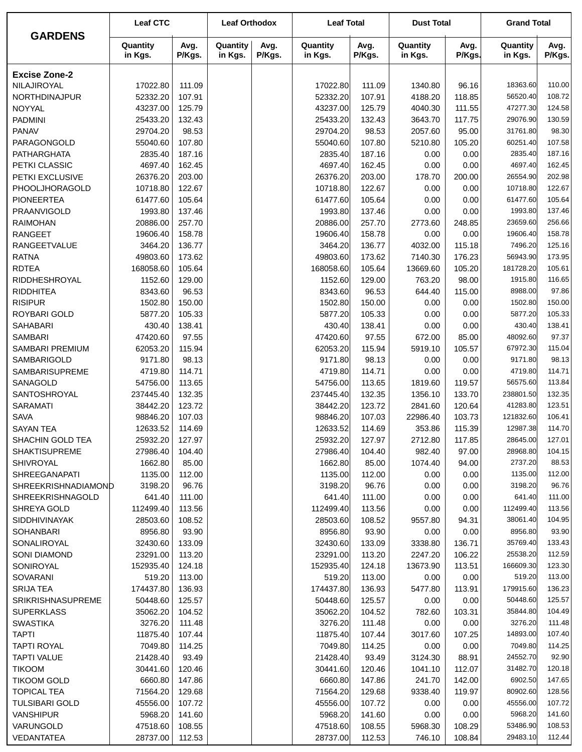|                          | <b>Leaf CTC</b>     |                | <b>Leaf Orthodox</b> |                | <b>Leaf Total</b>   |                | <b>Dust Total</b>   |                | <b>Grand Total</b>  |                |
|--------------------------|---------------------|----------------|----------------------|----------------|---------------------|----------------|---------------------|----------------|---------------------|----------------|
| <b>GARDENS</b>           | Quantity<br>in Kgs. | Avg.<br>P/Kgs. | Quantity<br>in Kgs.  | Avg.<br>P/Kgs. | Quantity<br>in Kgs. | Avg.<br>P/Kgs. | Quantity<br>in Kgs. | Avg.<br>P/Kgs. | Quantity<br>in Kgs. | Avg.<br>P/Kgs. |
| <b>Excise Zone-2</b>     |                     |                |                      |                |                     |                |                     |                |                     |                |
| NILAJIROYAL              | 17022.80            | 111.09         |                      |                | 17022.80            | 111.09         | 1340.80             | 96.16          | 18363.60            | 110.00         |
| NORTHDINAJPUR            | 52332.20            | 107.91         |                      |                | 52332.20            | 107.91         | 4188.20             | 118.85         | 56520.40            | 108.72         |
| NOYYAL                   | 43237.00            | 125.79         |                      |                | 43237.00            | 125.79         | 4040.30             | 111.55         | 47277.30            | 124.58         |
| <b>PADMINI</b>           | 25433.20            | 132.43         |                      |                | 25433.20            | 132.43         | 3643.70             | 117.75         | 29076.90            | 130.59         |
| <b>PANAV</b>             | 29704.20            | 98.53          |                      |                | 29704.20            | 98.53          | 2057.60             | 95.00          | 31761.80            | 98.30          |
| PARAGONGOLD              | 55040.60            | 107.80         |                      |                | 55040.60            | 107.80         | 5210.80             | 105.20         | 60251.40            | 107.58         |
| <b>PATHARGHATA</b>       | 2835.40             | 187.16         |                      |                | 2835.40             | 187.16         | 0.00                | 0.00           | 2835.40             | 187.16         |
| PETKI CLASSIC            | 4697.40             | 162.45         |                      |                | 4697.40             | 162.45         | 0.00                | 0.00           | 4697.40             | 162.45         |
| PETKI EXCLUSIVE          | 26376.20            | 203.00         |                      |                | 26376.20            | 203.00         | 178.70              | 200.00         | 26554.90            | 202.98         |
| PHOOLJHORAGOLD           | 10718.80            | 122.67         |                      |                | 10718.80            | 122.67         | 0.00                | 0.00           | 10718.80            | 122.67         |
| <b>PIONEERTEA</b>        | 61477.60            | 105.64         |                      |                | 61477.60            | 105.64         | 0.00                | 0.00           | 61477.60            | 105.64         |
| PRAANVIGOLD              | 1993.80             | 137.46         |                      |                | 1993.80             | 137.46         | 0.00                | 0.00           | 1993.80             | 137.46         |
| <b>RAIMOHAN</b>          | 20886.00            | 257.70         |                      |                | 20886.00            | 257.70         | 2773.60             | 248.85         | 23659.60            | 256.66         |
| <b>RANGEET</b>           | 19606.40            | 158.78         |                      |                | 19606.40            | 158.78         | 0.00                | 0.00           | 19606.40            | 158.78         |
| RANGEETVALUE             | 3464.20             | 136.77         |                      |                | 3464.20             | 136.77         | 4032.00             | 115.18         | 7496.20             | 125.16         |
| <b>RATNA</b>             | 49803.60            | 173.62         |                      |                | 49803.60            | 173.62         | 7140.30             | 176.23         | 56943.90            | 173.95         |
| <b>RDTEA</b>             | 168058.60           | 105.64         |                      |                | 168058.60           | 105.64         | 13669.60            | 105.20         | 181728.20           | 105.61         |
| <b>RIDDHESHROYAL</b>     | 1152.60             | 129.00         |                      |                | 1152.60             | 129.00         | 763.20              | 98.00          | 1915.80             | 116.65         |
| <b>RIDDHITEA</b>         | 8343.60             | 96.53          |                      |                | 8343.60             | 96.53          | 644.40              | 115.00         | 8988.00             | 97.86          |
| <b>RISIPUR</b>           | 1502.80             | 150.00         |                      |                | 1502.80             | 150.00         | 0.00                | 0.00           | 1502.80             | 150.00         |
| ROYBARI GOLD             | 5877.20             | 105.33         |                      |                | 5877.20             | 105.33         | 0.00                | 0.00           | 5877.20             | 105.33         |
| <b>SAHABARI</b>          | 430.40              | 138.41         |                      |                | 430.40              | 138.41         | 0.00                | 0.00           | 430.40              | 138.41         |
| <b>SAMBARI</b>           | 47420.60            | 97.55          |                      |                | 47420.60            | 97.55          | 672.00              | 85.00          | 48092.60            | 97.37          |
| SAMBARI PREMIUM          | 62053.20            | 115.94         |                      |                | 62053.20            | 115.94         | 5919.10             | 105.57         | 67972.30            | 115.04         |
| SAMBARIGOLD              | 9171.80             | 98.13          |                      |                | 9171.80             | 98.13          | 0.00                | 0.00           | 9171.80             | 98.13          |
| SAMBARISUPREME           | 4719.80             | 114.71         |                      |                | 4719.80             | 114.71         | 0.00                | 0.00           | 4719.80             | 114.71         |
| SANAGOLD                 | 54756.00            | 113.65         |                      |                | 54756.00            | 113.65         | 1819.60             | 119.57         | 56575.60            | 113.84         |
| SANTOSHROYAL             | 237445.40           | 132.35         |                      |                | 237445.40           | 132.35         | 1356.10             | 133.70         | 238801.50           | 132.35         |
| <b>SARAMATI</b>          | 38442.20            | 123.72         |                      |                | 38442.20            | 123.72         | 2841.60             | 120.64         | 41283.80            | 123.51         |
| <b>SAVA</b>              | 98846.20            | 107.03         |                      |                | 98846.20            | 107.03         | 22986.40            | 103.73         | 121832.60           | 106.41         |
| <b>SAYAN TEA</b>         | 12633.52            | 114.69         |                      |                | 12633.52            | 114.69         | 353.86              | 115.39         | 12987.38            | 114.70         |
| SHACHIN GOLD TEA         | 25932.20            | 127.97         |                      |                | 25932.20            | 127.97         | 2712.80             | 117.85         | 28645.00            | 127.01         |
| <b>SHAKTISUPREME</b>     | 27986.40            | 104.40         |                      |                | 27986.40            | 104.40         | 982.40              | 97.00          | 28968.80            | 104.15         |
| SHIVROYAL                | 1662.80             | 85.00          |                      |                | 1662.80             | 85.00          | 1074.40             | 94.00          | 2737.20             | 88.53          |
| <b>SHREEGANAPATI</b>     | 1135.00             | 112.00         |                      |                | 1135.00             | 112.00         | 0.00                | 0.00           | 1135.00             | 112.00         |
| SHREEKRISHNADIAMOND      | 3198.20             | 96.76          |                      |                | 3198.20             | 96.76          | 0.00                | 0.00           | 3198.20             | 96.76          |
| <b>SHREEKRISHNAGOLD</b>  | 641.40              | 111.00         |                      |                | 641.40              | 111.00         | 0.00                | 0.00           | 641.40              | 111.00         |
| SHREYA GOLD              | 112499.40           | 113.56         |                      |                | 112499.40           | 113.56         | 0.00                | 0.00           | 112499.40           | 113.56         |
| <b>SIDDHIVINAYAK</b>     | 28503.60            | 108.52         |                      |                | 28503.60            | 108.52         | 9557.80             | 94.31          | 38061.40            | 104.95         |
| <b>SOHANBARI</b>         | 8956.80             | 93.90          |                      |                | 8956.80             | 93.90          | 0.00                | 0.00           | 8956.80             | 93.90          |
| SONALIROYAL              | 32430.60            | 133.09         |                      |                | 32430.60            | 133.09         | 3338.80             | 136.71         | 35769.40            | 133.43         |
| <b>SONI DIAMOND</b>      | 23291.00            | 113.20         |                      |                | 23291.00            | 113.20         | 2247.20             | 106.22         | 25538.20            | 112.59         |
| SONIROYAL                | 152935.40           | 124.18         |                      |                | 152935.40           | 124.18         | 13673.90            | 113.51         | 166609.30           | 123.30         |
| SOVARANI                 | 519.20              | 113.00         |                      |                | 519.20              | 113.00         | 0.00                | 0.00           | 519.20              | 113.00         |
| <b>SRIJA TEA</b>         | 174437.80           | 136.93         |                      |                | 174437.80           | 136.93         | 5477.80             | 113.91         | 179915.60           | 136.23         |
| <b>SRIKRISHNASUPREME</b> | 50448.60            | 125.57         |                      |                | 50448.60            | 125.57         | 0.00                | 0.00           | 50448.60            | 125.57         |
| <b>SUPERKLASS</b>        | 35062.20            | 104.52         |                      |                | 35062.20            | 104.52         | 782.60              | 103.31         | 35844.80            | 104.49         |
| <b>SWASTIKA</b>          | 3276.20             | 111.48         |                      |                | 3276.20             | 111.48         | 0.00                | 0.00           | 3276.20             | 111.48         |
| <b>TAPTI</b>             | 11875.40            | 107.44         |                      |                | 11875.40            | 107.44         | 3017.60             | 107.25         | 14893.00            | 107.40         |
| <b>TAPTI ROYAL</b>       | 7049.80             | 114.25         |                      |                | 7049.80             | 114.25         | 0.00                | 0.00           | 7049.80             | 114.25         |
| <b>TAPTI VALUE</b>       | 21428.40            | 93.49          |                      |                | 21428.40            | 93.49          | 3124.30             | 88.91          | 24552.70            | 92.90          |
| <b>TIKOOM</b>            | 30441.60            | 120.46         |                      |                | 30441.60            | 120.46         | 1041.10             | 112.07         | 31482.70            | 120.18         |
| <b>TIKOOM GOLD</b>       | 6660.80             | 147.86         |                      |                | 6660.80             | 147.86         | 241.70              | 142.00         | 6902.50             | 147.65         |
| <b>TOPICAL TEA</b>       | 71564.20            | 129.68         |                      |                | 71564.20            | 129.68         | 9338.40             | 119.97         | 80902.60            | 128.56         |
| <b>TULSIBARI GOLD</b>    | 45556.00            | 107.72         |                      |                | 45556.00            | 107.72         | 0.00                | 0.00           | 45556.00            | 107.72         |
| <b>VANSHIPUR</b>         | 5968.20             | 141.60         |                      |                | 5968.20             | 141.60         | 0.00                | 0.00           | 5968.20             | 141.60         |
| VARUNGOLD                | 47518.60            | 108.55         |                      |                | 47518.60            | 108.55         | 5968.30             | 108.29         | 53486.90            | 108.53         |
| VEDANTATEA               | 28737.00            | 112.53         |                      |                | 28737.00            | 112.53         | 746.10              | 108.84         | 29483.10            | 112.44         |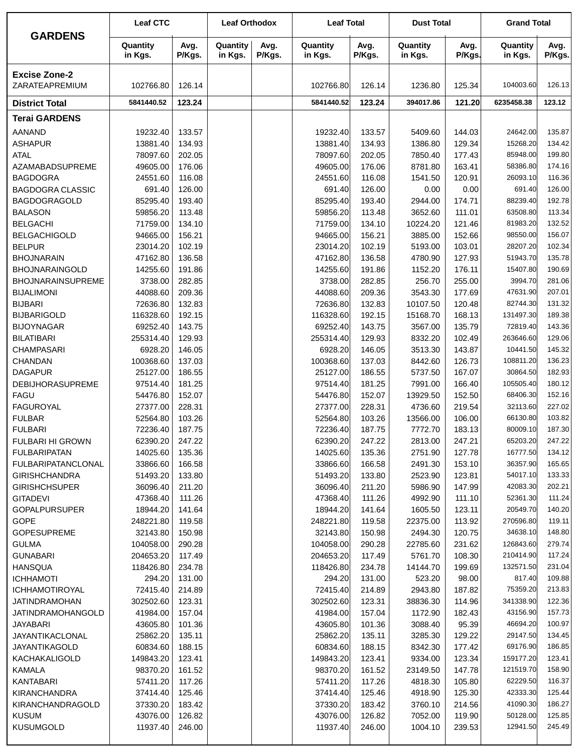|                                           | <b>Leaf CTC</b>       |                  | <b>Leaf Orthodox</b> |                | <b>Leaf Total</b>     |                  | <b>Dust Total</b>   |                  | <b>Grand Total</b>    |                  |
|-------------------------------------------|-----------------------|------------------|----------------------|----------------|-----------------------|------------------|---------------------|------------------|-----------------------|------------------|
| <b>GARDENS</b>                            | Quantity<br>in Kgs.   | Avg.<br>P/Kgs.   | Quantity<br>in Kgs.  | Avg.<br>P/Kgs. | Quantity<br>in Kgs.   | Avg.<br>P/Kgs.   | Quantity<br>in Kgs. | Avg.<br>P/Kgs.   | Quantity<br>in Kgs.   | Avg.<br>P/Kgs.   |
| <b>Excise Zone-2</b><br>ZARATEAPREMIUM    | 102766.80             | 126.14           |                      |                | 102766.80             | 126.14           | 1236.80             | 125.34           | 104003.60             | 126.13           |
| <b>District Total</b>                     | 5841440.52            | 123.24           |                      |                | 5841440.52            | 123.24           | 394017.86           | 121.20           | 6235458.38            | 123.12           |
| <b>Terai GARDENS</b>                      |                       |                  |                      |                |                       |                  |                     |                  |                       |                  |
|                                           |                       |                  |                      |                | 19232.40              |                  |                     |                  | 24642.00              | 135.87           |
| <b>AANAND</b><br><b>ASHAPUR</b>           | 19232.40<br>13881.40  | 133.57<br>134.93 |                      |                | 13881.40              | 133.57<br>134.93 | 5409.60<br>1386.80  | 144.03<br>129.34 | 15268.20              | 134.42           |
| <b>ATAL</b>                               | 78097.60              | 202.05           |                      |                | 78097.60              | 202.05           | 7850.40             | 177.43           | 85948.00              | 199.80           |
| AZAMABADSUPREME                           | 49605.00              | 176.06           |                      |                | 49605.00              | 176.06           | 8781.80             | 163.41           | 58386.80              | 174.16           |
| <b>BAGDOGRA</b>                           | 24551.60              | 116.08           |                      |                | 24551.60              | 116.08           | 1541.50             | 120.91           | 26093.10              | 116.36           |
| <b>BAGDOGRA CLASSIC</b>                   | 691.40                | 126.00           |                      |                | 691.40                | 126.00           | 0.00                | 0.00             | 691.40                | 126.00           |
| <b>BAGDOGRAGOLD</b>                       | 85295.40              | 193.40           |                      |                | 85295.40              | 193.40           | 2944.00             | 174.71           | 88239.40              | 192.78           |
| <b>BALASON</b>                            | 59856.20              | 113.48           |                      |                | 59856.20              | 113.48           | 3652.60             | 111.01           | 63508.80              | 113.34           |
| <b>BELGACHI</b><br><b>BELGACHIGOLD</b>    | 71759.00              | 134.10<br>156.21 |                      |                | 71759.00<br>94665.00  | 134.10           | 10224.20<br>3885.00 | 121.46           | 81983.20<br>98550.00  | 132.52<br>156.07 |
| <b>BELPUR</b>                             | 94665.00<br>23014.20  | 102.19           |                      |                | 23014.20              | 156.21<br>102.19 | 5193.00             | 152.66<br>103.01 | 28207.20              | 102.34           |
| <b>BHOJNARAIN</b>                         | 47162.80              | 136.58           |                      |                | 47162.80              | 136.58           | 4780.90             | 127.93           | 51943.70              | 135.78           |
| <b>BHOJNARAINGOLD</b>                     | 14255.60              | 191.86           |                      |                | 14255.60              | 191.86           | 1152.20             | 176.11           | 15407.80              | 190.69           |
| <b>BHOJNARAINSUPREME</b>                  | 3738.00               | 282.85           |                      |                | 3738.00               | 282.85           | 256.70              | 255.00           | 3994.70               | 281.06           |
| <b>BIJALIMONI</b>                         | 44088.60              | 209.36           |                      |                | 44088.60              | 209.36           | 3543.30             | 177.69           | 47631.90              | 207.01           |
| <b>BIJBARI</b>                            | 72636.80              | 132.83           |                      |                | 72636.80              | 132.83           | 10107.50            | 120.48           | 82744.30              | 131.32           |
| <b>BIJBARIGOLD</b>                        | 116328.60             | 192.15           |                      |                | 116328.60             | 192.15           | 15168.70            | 168.13           | 131497.30             | 189.38           |
| <b>BIJOYNAGAR</b>                         | 69252.40              | 143.75           |                      |                | 69252.40              | 143.75           | 3567.00             | 135.79           | 72819.40              | 143.36           |
| <b>BILATIBARI</b>                         | 255314.40             | 129.93           |                      |                | 255314.40             | 129.93           | 8332.20             | 102.49           | 263646.60             | 129.06           |
| <b>CHAMPASARI</b>                         | 6928.20               | 146.05           |                      |                | 6928.20               | 146.05           | 3513.30             | 143.87           | 10441.50              | 145.32           |
| CHANDAN                                   | 100368.60             | 137.03           |                      |                | 100368.60             | 137.03           | 8442.60             | 126.73           | 108811.20             | 136.23           |
| <b>DAGAPUR</b><br><b>DEBIJHORASUPREME</b> | 25127.00<br>97514.40  | 186.55<br>181.25 |                      |                | 25127.00<br>97514.40  | 186.55<br>181.25 | 5737.50<br>7991.00  | 167.07<br>166.40 | 30864.50<br>105505.40 | 182.93<br>180.12 |
| <b>FAGU</b>                               | 54476.80              | 152.07           |                      |                | 54476.80              | 152.07           | 13929.50            | 152.50           | 68406.30              | 152.16           |
| <b>FAGUROYAL</b>                          | 27377.00              | 228.31           |                      |                | 27377.00              | 228.31           | 4736.60             | 219.54           | 32113.60              | 227.02           |
| <b>FULBAR</b>                             | 52564.80              | 103.26           |                      |                | 52564.80              | 103.26           | 13566.00            | 106.00           | 66130.80              | 103.82           |
| <b>FULBARI</b>                            | 72236.40              | 187.75           |                      |                | 72236.40              | 187.75           | 7772.70             | 183.13           | 80009.10              | 187.30           |
| FULBARI HI GROWN                          | 62390.20              | 247.22           |                      |                | 62390.20              | 247.22           | 2813.00             | 247.21           | 65203.20              | 247.22           |
| <b>FULBARIPATAN</b>                       | 14025.60              | 135.36           |                      |                | 14025.60              | 135.36           | 2751.90             | 127.78           | 16777.50              | 134.12           |
| <b>FULBARIPATANCLONAL</b>                 | 33866.60              | 166.58           |                      |                | 33866.60              | 166.58           | 2491.30             | 153.10           | 36357.90              | 165.65           |
| <b>GIRISHCHANDRA</b>                      | 51493.20              | 133.80           |                      |                | 51493.20              | 133.80           | 2523.90             | 123.81           | 54017.10              | 133.33           |
| <b>GIRISHCHSUPER</b>                      | 36096.40              | 211.20           |                      |                | 36096.40              | 211.20           | 5986.90             | 147.99           | 42083.30              | 202.21           |
| <b>GITADEVI</b>                           | 47368.40              | 111.26           |                      |                | 47368.40              | 111.26           | 4992.90             | 111.10           | 52361.30              | 111.24           |
| <b>GOPALPURSUPER</b>                      | 18944.20              | 141.64           |                      |                | 18944.20              | 141.64           | 1605.50             | 123.11           | 20549.70<br>270596.80 | 140.20<br>119.11 |
| GOPE<br><b>GOPESUPREME</b>                | 248221.80<br>32143.80 | 119.58<br>150.98 |                      |                | 248221.80<br>32143.80 | 119.58<br>150.98 | 22375.00<br>2494.30 | 113.92<br>120.75 | 34638.10              | 148.80           |
| <b>GULMA</b>                              | 104058.00             | 290.28           |                      |                | 104058.00             | 290.28           | 22785.60            | 231.62           | 126843.60             | 279.74           |
| <b>GUNABARI</b>                           | 204653.20             | 117.49           |                      |                | 204653.20             | 117.49           | 5761.70             | 108.30           | 210414.90             | 117.24           |
| <b>HANSQUA</b>                            | 118426.80             | 234.78           |                      |                | 118426.80             | 234.78           | 14144.70            | 199.69           | 132571.50             | 231.04           |
| <b>ICHHAMOTI</b>                          | 294.20                | 131.00           |                      |                | 294.20                | 131.00           | 523.20              | 98.00            | 817.40                | 109.88           |
| ICHHAMOTIROYAL                            | 72415.40              | 214.89           |                      |                | 72415.40              | 214.89           | 2943.80             | 187.82           | 75359.20              | 213.83           |
| <b>JATINDRAMOHAN</b>                      | 302502.60             | 123.31           |                      |                | 302502.60             | 123.31           | 38836.30            | 114.96           | 341338.90             | 122.36           |
| <b>JATINDRAMOHANGOLD</b>                  | 41984.00              | 157.04           |                      |                | 41984.00              | 157.04           | 1172.90             | 182.43           | 43156.90              | 157.73           |
| <b>JAYABARI</b>                           | 43605.80              | 101.36           |                      |                | 43605.80              | 101.36           | 3088.40             | 95.39            | 46694.20              | 100.97           |
| JAYANTIKACLONAL                           | 25862.20              | 135.11           |                      |                | 25862.20              | 135.11           | 3285.30             | 129.22           | 29147.50              | 134.45           |
| <b>JAYANTIKAGOLD</b>                      | 60834.60              | 188.15           |                      |                | 60834.60              | 188.15           | 8342.30             | 177.42           | 69176.90<br>159177.20 | 186.85<br>123.41 |
| KACHAKALIGOLD<br>KAMALA                   | 149843.20<br>98370.20 | 123.41<br>161.52 |                      |                | 149843.20<br>98370.20 | 123.41<br>161.52 | 9334.00<br>23149.50 | 123.34<br>147.78 | 121519.70             | 158.90           |
| <b>KANTABARI</b>                          | 57411.20              | 117.26           |                      |                | 57411.20              | 117.26           | 4818.30             | 105.80           | 62229.50              | 116.37           |
| <b>KIRANCHANDRA</b>                       | 37414.40              | 125.46           |                      |                | 37414.40              | 125.46           | 4918.90             | 125.30           | 42333.30              | 125.44           |
| KIRANCHANDRAGOLD                          | 37330.20              | 183.42           |                      |                | 37330.20              | 183.42           | 3760.10             | 214.56           | 41090.30              | 186.27           |
| <b>KUSUM</b>                              | 43076.00              | 126.82           |                      |                | 43076.00              | 126.82           | 7052.00             | 119.90           | 50128.00              | 125.85           |
| <b>KUSUMGOLD</b>                          | 11937.40              | 246.00           |                      |                | 11937.40              | 246.00           | 1004.10             | 239.53           | 12941.50              | 245.49           |
|                                           |                       |                  |                      |                |                       |                  |                     |                  |                       |                  |